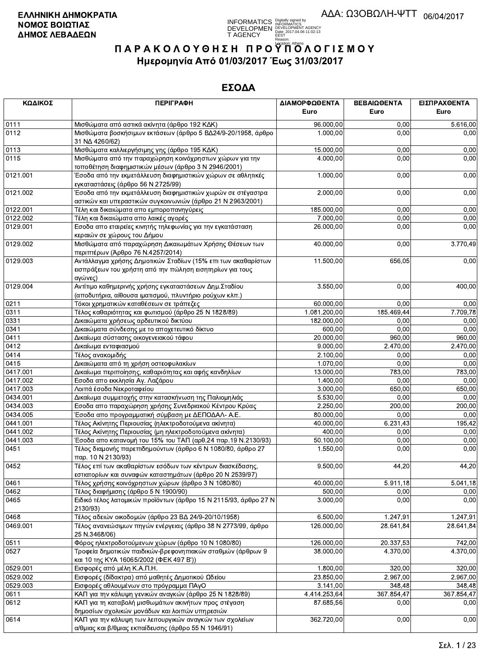

| ΚΩΔΙΚΟΣ      | <b>ПЕРІГРАФН</b>                                                                                                                    | ΔΙΑΜΟΡΦΩΘΕΝΤΑ<br>Euro | ΒΕΒΑΙΩΘΕΝΤΑ<br>Euro | ΕΙΣΠΡΑΧΘΕΝΤΑ<br>Euro |
|--------------|-------------------------------------------------------------------------------------------------------------------------------------|-----------------------|---------------------|----------------------|
|              |                                                                                                                                     |                       |                     |                      |
| 0111<br>0112 | Μισθώματα από αστικά ακίνητα (άρθρο 192 ΚΔΚ)<br>Μισθώματα βοσκήσιμων εκτάσεων (άρθρο 5 ΒΔ24/9-20/1958, άρθρο<br>31 NA 4260/62)      | 96.000,00<br>1.000,00 | 0,00<br>0,00        | 5.616,00<br>0,00     |
| 0113         | Μισθώματα καλλιεργήσιμης γης (άρθρο 195 ΚΔΚ)                                                                                        | 15.000,00             | 0,00                | 0,00                 |
| 0115         | Μισθώματα από την παραχώρηση κοινόχρηστων χώρων για την<br>τοποθέτηση διαφημιστικών μέσων (άρθρο 3 Ν 2946/2001)                     | 4.000,00              | 0,00                | 0,00                 |
| 0121.001     | Έσοδα από την εκμετάλλευση διαφημιστικών χώρων σε αθλητικές<br>εγκαταστάσεις (άρθρο 56 Ν 2725/99)                                   | 1.000,00              | 0,00                | 0,00                 |
| 0121.002     | Έσοδα από την εκμετάλλευση διαφημιστικών χωρών σε στέγαστρα<br>αστικών και υπεραστικών συγκοινωνιών (άρθρο 21 Ν 2963/2001)          | 2.000,00              | 0,00                | 0,00                 |
| 0122.001     | Τέλη και δικαιώματα απο εμποροπανηγύρεις                                                                                            | 185.000,00            | 0,00                | 0,00                 |
| 0122.002     | Τέλη και δικαιώματα απο λαικές αγορές                                                                                               | 7.000,00              | 0,00                | 0,00                 |
| 0129.001     | Εσοδα απο εταιρείες κινητής τηλεφωνίας για την εγκατάσταση<br>κεραιών σε χώρους του Δήμου                                           | 26.000,00             | 0,00                | 0,00                 |
| 0129.002     | Μισθώματα από παραχώρηση Δικαιωμάτων Χρήσης Θέσεων των<br>περιπτέρων (Άρθρο 76 Ν.4257/2014)                                         | 40.000,00             | 0,00                | 3.770,49             |
| 0129.003     | Αντάλλαγμα χρήσης Δημοτικών Σταδίων (15% επι των ακαθαρίστων<br>εισπράξεων του χρήστη από την πώληση εισητηρίων για τους<br>αγώνες) | 11.500,00             | 656,05              | 0,00                 |
| 0129.004     | Αντίτιμο καθημερινής χρήσης εγκαταστάσεων Δημ. Σταδίου<br>(αποδυτήρια, αίθουσα ιματισμού, πλυντήριο ρούχων κλπ.)                    | 3.550,00              | 0,00                | 400,00               |
| 0211         | Τόκοι χρηματικών καταθέσεων σε τράπεζες                                                                                             | 60.000,00             | 0,00                | 0,00                 |
| 0311         | Τέλος καθαριότητας και φωτισμού (άρθρο 25 Ν 1828/89)                                                                                | 1.081.200,00          | 185.469,44          | 7.709,78             |
| 0331         | Δικαιώματα χρήσεως αρδευτικού δικτύου                                                                                               | 182.000,00            | 0,00                | 0,00                 |
| 0341         | Δικαιώματα σύνδεσης με το αποχετευτικό δίκτυο                                                                                       | 600,00                | 0,00                | 0,00                 |
| 0411         | Δικαίωμα σύστασης οικογενειακού τάφου                                                                                               | 20.000,00             | 960,00              | 960,00               |
| 0412         | Δικαίωμα ενταφιασμού                                                                                                                | 9.000,00              | 2.470,00            | 2.470,00             |
| 0414         | Τέλος ανακομιδής                                                                                                                    | 2.100,00              | 0,00                | 0,00                 |
| 0415         | Δικαιώματα από τη χρήση οστεοφυλακίων                                                                                               | 1.070,00              | 0.00                | 0,00                 |
| 0417.001     | Δικαίωμα περιποίησης, καθαριότητας και αφής κανδηλίων                                                                               | 13.000,00             | 783,00              | 783,00               |
| 0417.002     | Εσοδα απο εκκλησία Αγ. Λαζάρου                                                                                                      | 1.400,00              | 0,00                | 0,00                 |
| 0417.003     | Λοιπά έσοδα Νεκροταφείου                                                                                                            | 3.000,00              | 650,00              | 650,00               |
| 0434.001     | Δικαίωμα συμμετοχής στην κατασκήνωση της Παλιομηλιάς                                                                                | 5.530,00              | 0,00                | 0,00                 |
| 0434.003     | Εσοδα απο παραχώρηση χρήσης Συνεδριακού Κέντρου Κρύας                                                                               | 2.250,00              | 200,00              | 200,00               |
| 0434.005     | Έσοδα απο προγραμματική σύμβαση με ΔΕΠΟΔΑΛ- Α.Ε.                                                                                    | 80.000,00             | 0,00                | 0,00                 |
| 0441.001     | Τέλος Ακίνητης Περιουσίας (ηλεκτροδοτούμενα ακίνητα)                                                                                | 40.000,00             | 6.231,43            | 195.42               |
| 0441.002     | Τέλος Ακίνητης Περιουσίας (μη ηλεκτροδοτούμενα ακίνητα)                                                                             | 400,00                | 0,00                | 0,00                 |
| 0441.003     | Έσοδα απο κατανομή του 15% του ΤΑΠ (αρθ.24 παρ.19 Ν.2130/93)                                                                        | 50.100,00             | 0,00                | 0,00                 |
| 0451         | Τέλος διαμονής παρεπιδημούντων (άρθρο 6 Ν 1080/80, άρθρο 27<br>παρ. 10 Ν 2130/93)                                                   | 1.550,00              | 0,00                | 0,00                 |
| 0452         | Τέλος επί των ακαθαρίστων εσόδων των κέντρων διασκέδασης,<br>εστιατορίων και συναφών καταστημάτων (άρθρο 20 Ν 2539/97)              | 9.500,00              | 44,20               | 44,20                |
| 0461         | Τέλος χρήσης κοινόχρηστων χώρων (άρθρο 3 Ν 1080/80)                                                                                 | 40.000,00             | 5.911,18            | 5.041,18             |
| 0462         | Τέλος διαφήμισης (άρθρο 5 Ν 1900/90)                                                                                                | 500,00                | 0,00                | 0,00                 |
| 0465         | Ειδικό τέλος λατομικών προϊόντων (άρθρο 15 Ν 2115/93, άρθρο 27 Ν<br>2130/93)                                                        | 3.000,00              | 0,00                | 0,00                 |
| 0468         | Τέλος αδειών οικοδομών (άρθρο 23 ΒΔ 24/9-20/10/1958)                                                                                | 6.500,00              | 1.247,91            | 1.247,91             |
| 0469.001     | Τέλος ανανεώσιμων πηγών ενέργειας (άρθρο 38 Ν 2773/99, άρθρο<br>25 N.3468/06)                                                       | 126.000,00            | 28.641,84           | 28.641,84            |
| 0511         | Φόρος ηλεκτροδοτούμενων χώρων (άρθρο 10 Ν 1080/80)                                                                                  | 126.000,00            | 20.337,53           | 742,00               |
| 0527         | Τροφεία δημοτικών παιδικών-βρεφονηπιακών σταθμών (άρθρων 9<br>και 10 της ΚΥΑ 16065/2002 (ΦΕΚ 497 Β'))                               | 38.000,00             | 4.370,00            | 4.370,00             |
| 0529.001     | Εισφορές από μέλη Κ.Α.Π.Η.                                                                                                          | 1.800,00              | 320,00              | 320,00               |
| 0529.002     | Εισφορές (δίδακτρα) από μαθητές Δημοτικού Ωδείου                                                                                    | 23.850,00             | 2.967,00            | 2.967,00             |
| 0529.003     | Εισφορές αθλουμένων στο πρόγραμμα ΠΑγΟ                                                                                              | 3.141,00              | 348,48              | 348,48               |
| 0611         | ΚΑΠ για την κάλυψη γενικών αναγκών (άρθρο 25 Ν 1828/89)                                                                             | 4.414.253,64          | 367.854,47          | 367.854,47           |
| 0612         | ΚΑΠ για τη καταβολή μισθωμάτων ακινήτων προς στέγαση<br>δημοσίων σχολικών μονάδων και λοιπών υπηρεσιών                              | 87.685,56             | 0.00                | 0,00                 |
| 0614         | ΚΑΠ για την κάλυψη των λειτουργικών αναγκών των σχολείων<br>α/θμιας και β/θμιας εκπαίδευσης (άρθρο 55 Ν 1946/91)                    | 362.720,00            | 0,00                | 0,00                 |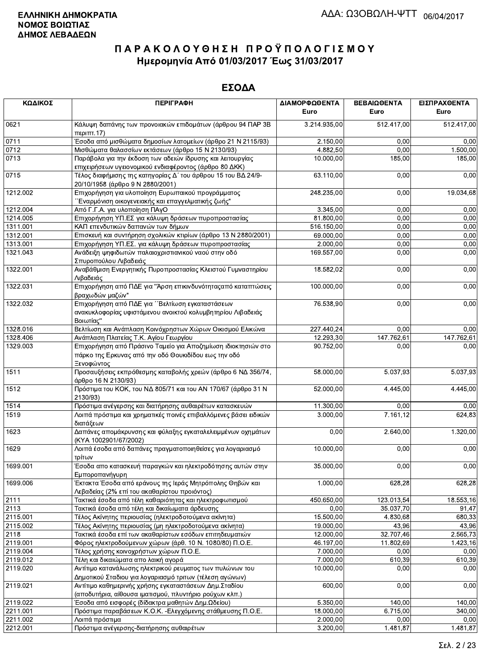| ΚΩΔΙΚΟΣ  | <b>ПЕРІГРАФН</b>                                                                                                                    | ΔΙΑΜΟΡΦΩΘΕΝΤΑ<br>Euro | ΒΕΒΑΙΩΘΕΝΤΑ<br>Euro | ΕΙΣΠΡΑΧΘΕΝΤΑ<br>Euro |
|----------|-------------------------------------------------------------------------------------------------------------------------------------|-----------------------|---------------------|----------------------|
| 0621     | Κάλυψη δαπάνης των προνοιακών επιδομάτων (άρθρου 94 ΠΑΡ 3Β<br>περ <sub>1</sub> πτ.17                                                | 3.214.935,00          | 512.417,00          | 512.417,00           |
| 0711     | Έσοδα από μισθώματα δημοσίων λατομείων (άρθρο 21 Ν 2115/93)                                                                         | 2.150,00              | 0,00                | 0,00                 |
| 0712     | Μισθώματα θαλασσίων εκτάσεων (άρθρο 15 Ν 2130/93)                                                                                   | 4.882,50              | 0,00                | 1.500,00             |
| 0713     | Παράβολα για την έκδοση των αδειών ίδρυσης και λειτουργίας                                                                          | 10.000,00             | 185,00              | 185,00               |
|          | επιχειρήσεων υγειονομικού ενδιαφέροντος (άρθρο 80 ΔΚΚ)                                                                              |                       |                     |                      |
| 0715     | Τέλος διαφήμισης της κατηγορίας Δ΄ του άρθρου 15 του ΒΔ 24/9-<br>20/10/1958 (άρθρο 9 Ν 2880/2001)                                   | 63.110,00             | 0,00                | 0,00                 |
| 1212.002 | Επιχορήγηση για υλοποίηση Ευρωπαικού προγράμματος<br>΄΄Εναρμόνιση οικογενειακής και επαγγελματικής ζωής"                            | 248.235,00            | 0,00                | 19.034,68            |
| 1212.004 | Από Γ.Γ.Α. για υλοποίηση ΠΑγΟ                                                                                                       | 3.345,00              | 0,00                | 0,00                 |
| 1214.005 | Επιχορήγηση ΥΠ.ΕΣ για κάλυψη δράσεων πυροπροστασίας                                                                                 | 81.800,00             | 0,00                | 0,00                 |
| 1311.001 | ΚΑΠ επενδυτικών δαπανών των δήμων                                                                                                   | 516.150,00            | 0,00                | 0,00                 |
| 1312.001 | Επισκευή και συντήρηση σχολικών κτιρίων (άρθρο 13 Ν 2880/2001)                                                                      | 69.000,00             | 0,00                | 0,00                 |
| 1313.001 | Επιχορήγηση ΥΠ.ΕΣ. για κάλυψη δράσεων πυροπροστασίας                                                                                | 2.000,00              | 0,00                | 0,00                 |
| 1321.043 | Ανάδειξη ψηφιδωτών παλαιοχριστιανικού ναού στην οδό<br>Σπυροπούλου Λιβαδειάς                                                        | 169.557,00            | 0,00                | 0,00                 |
| 1322.001 | Αναβάθμιση Ενεργητικής Πυροπροστασίας Κλειστού Γυμναστηρίου<br>Λιβαδειάς                                                            | 18.582,02             | 0,00                | 0,00                 |
| 1322.031 | Επιχορήγηση από ΠΔΕ για "Άρση επικινδυνότητας από καταπτώσεις<br>βραχωδών μαζών"                                                    | 100.000,00            | 0,00                | 0,00                 |
| 1322.032 | Επιχορήγηση από ΠΔΕ για ''Βελτίωση εγκαταστάσεων<br>ανακυκλοφορίας υφιστάμενου ανοικτού κολυμβητηρίου Λιβαδειάς<br>Βοιωτίας"        | 76.538,90             | 0,00                | 0,00                 |
| 1328.016 | Βελτίωση και Ανάπλαση Κοινόχρηστων Χώρων Οικισμού Ελικώνα                                                                           | 227.440,24            | 0,00                | 0,00                 |
| 1328.406 | Ανάπλαση Πλατείας Τ.Κ. Αγίου Γεωργίου                                                                                               | 12.293,30             | 147.762,61          | 147.762,61           |
| 1329.003 | Επιχορήγηση από Πράσινο Ταμείο για Αποζημίωση ιδιοκτησιών στο<br>πάρκο της Ερκυνας από την οδό Θουκιδίδου εως την οδό<br>Ξενοφώντος | 90.752,00             | 0,00                | 0,00                 |
| 1511     | Προσαυξήσεις εκπρόθεσμης καταβολής χρεών (άρθρο 6 ΝΔ 356/74,<br>άρθρο 16 Ν 2130/93)                                                 | 58.000,00             | 5.037,93            | 5.037,93             |
| 1512     | Πρόστιμα του ΚΟΚ, του ΝΔ 805/71 και του ΑΝ 170/67 (άρθρο 31 Ν<br>2130/93)                                                           | 52.000,00             | 4.445,00            | 4.445,00             |
| 1514     | Πρόστιμα ανέγερσης και διατήρησης αυθαιρέτων κατασκευών                                                                             | 11.300,00             | 0,00                | 0,00                 |
| 1519     | Λοιπά πρόστιμα και χρηματικές ποινές επιβαλλόμενες βάσει ειδικών<br>διατάξεων                                                       | 3.000,00              | 7.161, 12           | 624,83               |
| 1623     | Δαπάνες απομάκρυνσης και φύλαξης εγκαταλελειμμένων οχημάτων<br>(KYA 1002901/67/2002)                                                | 0,00                  | 2.640,00            | 1.320,00             |
| 1629     | Λοιπά έσοδα από δαπάνες πραγματοποιηθείσες για λογαριασμό<br>τρίτων                                                                 | 10.000,00             | 0,00                | 0,00                 |
| 1699.001 | Έσοδα απο κατασκευή παραγκών και ηλεκτροδότησης αυτών στην<br>Εμποροπανήγυρη                                                        | 35.000,00             | 0,00                | 0,00                 |
| 1699.006 | Έκτακτα Έσοδα από εράνους της Ιεράς Μητρόπολης Θηβών και<br>Λεβαδείας (2% επί του ακαθαρίστου προιόντος)                            | 1.000,00              | 628,28              | 628,28               |
| 2111     | Τακτικά έσοδα από τέλη καθαριότητας και ηλεκτροφωτισμού                                                                             | 450.650,00            | 123.013,54          | 18.553,16            |
| 2113     | Τακτικά έσοδα από τέλη και δικαίωματα άρδευσης                                                                                      | 0,00                  | 35.037,70           | 91,47                |
| 2115.001 | Τέλος Ακίνητης περιουσίας (ηλεκτροδοτούμενα ακίνητα)                                                                                | 15.500,00             | 4.830,68            | 680,33               |
| 2115.002 | Τέλος Ακίνητης περιουσίας (μη ηλεκτροδοτούμενα ακίνητα)                                                                             | 19.000,00             | 43,96               | 43,96                |
| 2118     | Τακτικά έσοδα επί των ακαθαρίστων εσόδων επιτηδευματιών                                                                             | 12.000,00             | 32.707,46           | 2.565,73             |
| 2119.001 | Φόρος ηλεκτροδούμενων χώρων (άρθ. 10 Ν. 1080/80) Π.Ο.Ε.                                                                             | 46.197,00             | 11.802,69           | 1.423,16             |
| 2119.004 | Τέλος χρήσης κοινοχρήστων χώρων Π.Ο.Ε.                                                                                              | 7.000,00              | 0,00                | 0,00                 |
| 2119.012 | Τέλη και δικαιώματα απο λαική αγορά                                                                                                 | 7.000,00              | 610,39              | 610,39               |
| 2119.020 | Αντίτιμο κατανάλωσης ηλεκτρικού ρευματος των πυλώνων του<br>Δημοτικού Σταδιου για λογαριασμό τριτων (τέλεση αγώνων)                 | 10.000,00             | 0,00                | 0,00                 |
| 2119.021 | Αντίτιμο καθημερινής χρήσης εγκαταστάσεων Δημ. Σταδίου<br>(αποδυτήρια, αίθουσα ιματισμού, πλυντήριο ρούχων κλπ.)                    | 600,00                | 0,00                | 0,00                 |
| 2119.022 | Έσοδα από εισφορές (δίδακτρα μαθητών Δημ.Ωδείου)                                                                                    | 5.350,00              | 140,00              | 140,00               |
| 2211.001 | Πρόστιμα παραβάσεων Κ.Ο.Κ. - Ελεγχόμενης στάθμευσης Π.Ο.Ε.                                                                          | 18.000,00             | 6.715,00            | 340,00               |
| 2211.002 | Λοιπά πρόστιμα                                                                                                                      | 2.000,00              | 0,00                | 0,00                 |
| 2212.001 | Πρόστιμα ανέγερσης-διατήρησης αυθαιρέτων                                                                                            | 3.200,00              | 1.481,87            | 1.481,87             |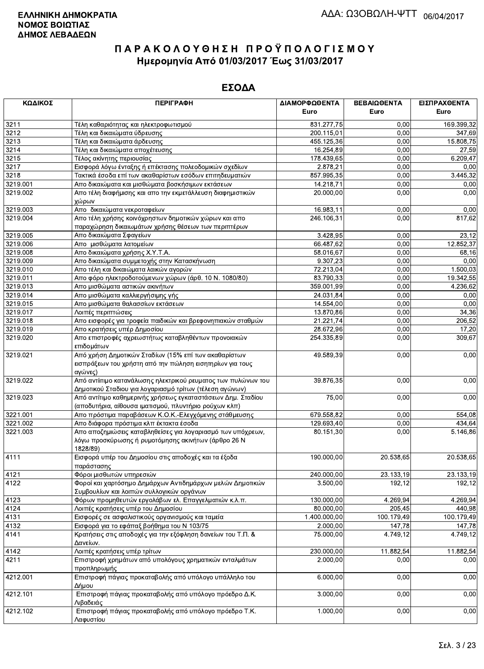| ΚΩΔΙΚΟΣ  | <b>ПЕРІГРАФН</b>                                                                                                               | ΔΙΑΜΟΡΦΩΘΕΝΤΑ | ΒΕΒΑΙΩΘΕΝΤΑ | ΕΙΣΠΡΑΧΘΕΝΤΑ |
|----------|--------------------------------------------------------------------------------------------------------------------------------|---------------|-------------|--------------|
|          |                                                                                                                                | Euro          | Euro        | Euro         |
| 3211     | Τέλη καθαριότητας και ηλεκτροφωτισμού                                                                                          | 831.277,75    | 0,00        | 169.399,32   |
| 3212     | Τέλη και δικαιώματα ύδρευσης                                                                                                   | 200.115,01    | 0,00        | 347,69       |
| 3213     | Τέλη και δικαιώματα άρδευσης                                                                                                   | 455.125,36    | 0,00        | 15.808,75    |
| 3214     | Τέλη και δικαιώματα αποχέτευσης                                                                                                | 16.254,89     | 0,00        | 27,59        |
| 3215     | Τέλος ακίνητης περιουσίας                                                                                                      | 178.439,65    | 0,00        | 6.209,47     |
| 3217     | Εισφορά λόγω ένταξης ή επέκτασης πολεοδομικών σχεδίων                                                                          | 2.878,21      | 0,00        | 0,00         |
| 3218     | Τακτικά έσοδα επί των ακαθαρίστων εσόδων επιτηδευματιών                                                                        | 857 995,35    | 0,00        | 3.445,32     |
| 3219.001 | Απο δικαιώματα και μισθώματα βοσκήσιμων εκτάσεων                                                                               | 14.218,71     | 0,00        | 0,00         |
| 3219.002 | Απο τέλη διαφήμισης και απο την εκμετάλλευση διαφημιστικών<br>χώρων                                                            | 20.000,00     | 0,00        | 0,00         |
| 3219.003 | Απο δικαιώματα νεκροταφείων                                                                                                    | 16.983,11     | 0,00        | 0,00         |
| 3219.004 | Απο τέλη χρήσης κοινόχρηστων δημοτικών χώρων και απο                                                                           | 246.106,31    | 0,00        | 817,62       |
|          | παραχώρηση δικαιωμάτων χρήσης θέσεων των περιπτέρων                                                                            |               |             |              |
| 3219.005 | Απο δικαιώματα Σφαγείων                                                                                                        | 3.428,95      | 0,00        | 23,12        |
| 3219.006 | Απο μισθώματα λατομείων                                                                                                        | 66.487,62     | 0,00        | 12.852,37    |
| 3219.008 | Απο δικαιώματα χρήσης Χ.Υ.Τ.Α.                                                                                                 | 58.016,67     | 0,00        | 68,16        |
| 3219.009 | Απο δικαιώματα συμμετοχής στην Κατασκήνωση                                                                                     | 9.307,23      | 0,00        | 0,00         |
| 3219.010 | Απο τέλη και δικαιώματα λαικών αγορών                                                                                          | 72.213,04     | 0,00        | 1.500,03     |
| 3219.011 | Απο φόρο ηλεκτροδοτούμενων χώρων (άρθ. 10 Ν. 1080/80)                                                                          | 83.790,33     | 0,00        | 19.342,55    |
| 3219.013 | Απο μισθώματα αστικών ακινήτων                                                                                                 | 359.001,99    | 0,00        | 4.236,62     |
| 3219.014 | Απο μισθώματα καλλιεργήσιμης γής                                                                                               | 24.031,84     | 0,00        | 0,00         |
| 3219.015 | Απο μισθώματα θαλασσίων εκτάσεων                                                                                               | 14.554,00     | 0,00        | 0,00         |
| 3219.017 | Λοιπές περιπτώσεις                                                                                                             | 13.870,86     | 0,00        | 34,36        |
| 3219.018 | Απο εισφορές για τροφεία παιδικών και βρεφονηπιακών σταθμών                                                                    | 21.221,74     | 0,00        | 206,52       |
| 3219.019 | Απο κρατήσεις υπέρ Δημοσίου                                                                                                    | 28.672,96     | 0,00        | 17,20        |
| 3219.020 | Απο επιστροφές αχρεωστήτως καταβληθέντων προνοιακών<br>επιδομάτων                                                              | 254.335,89    | 0,00        | 309,67       |
| 3219.021 | Από χρήση Δημοτικών Σταδίων (15% επί των ακαθαρίστων<br>εισπράξεων του χρήστη από την πώληση εισητηρίων για τους<br>αγώνες)    | 49.589,39     | 0,00        | 0,00         |
| 3219.022 | Από αντίιτιμο κατανάλωσης ηλεκτρικού ρευματος των πυλώνων του<br>Δημοτικού Σταδιου για λογαριασμό τρίτων (τέλεση αγώνων)       | 39.876,35     | 0,00        | 0,00         |
| 3219.023 | Από αντίτιμο καθημερινής χρήσεως εγκαταστάσεων Δημ. Σταδίου<br>(αποδυτήρια, αίθουσα ιματισμού, πλυντήριο ρούχων κλπ)           | 75,00         | 0,00        | 0,00         |
| 3221.001 | Απο πρόστιμα παραβάσεων Κ.Ο.Κ.-Ελεγχόμενης στάθμευσης                                                                          | 679.558,82    | 0,00        | 554,08       |
| 3221.002 | Απο διάφορα πρόστιμα κλπ έκτακτα έσοδα                                                                                         | 129.693,40    | 0,00        | 434,64       |
| 3221.003 | Απο αποζημιώσεις καταβληθείσες για λογαριασμό των υπόχρεων,<br>λόγω προσκύρωσης ή ρυμοτόμησης ακινήτων (άρθρο 26 Ν<br>1828/89) | 80.151,30     | 0,00        | 5.146,86     |
| 4111     | Εισφορά υπέρ του Δημοσίου στις αποδοχές και τα έξοδα<br>παράστασης                                                             | 190.000.00    | 20.538,65   | 20.538,65    |
| 4121     | Φόροι μισθωτών υπηρεσιών                                                                                                       | 240.000,00    | 23.133,19   | 23.133,19    |
| 4122     | Φοροί και χαρτόσημο Δημάρχων Αντιδημάρχων μελών Δημοτικών<br>Συμβουλίων και λοιπών συλλογικών οργάνων                          | 3.500,00      | 192,12      | 192,12       |
| 4123     | Φόρων προμηθευτών εργολάβων ελ. Επαγγελματιών κ.λ.π.                                                                           | 130.000,00    | 4.269,94    | 4.269,94     |
| 4124     | Λοιπές κρατήσεις υπέρ του Δημοσίου                                                                                             | 80.000,00     | 205,45      | 440,98       |
| 4131     | Εισφορές σε ασφαλιστικούς οργανισμούς και ταμεία                                                                               | 1.400.000,00  | 100.179,49  | 100.179,49   |
| 4132     | Εισφορά για το εφάπαξ βοήθημα του Ν 103/75                                                                                     | 2.000,00      | 147,78      | 147,78       |
| 4141     | Κρατήσεις στις αποδοχές για την εξόφληση δανείων του Τ.Π. &<br>Δανείων.                                                        | 75.000,00     | 4.749,12    | 4.749,12     |
| 4142     | Λοιπές κρατήσεις υπέρ τρίτων                                                                                                   | 230.000,00    | 11.882,54   | 11.882,54    |
| 4211     | Επιστροφή χρημάτων από υπολόγους χρηματικών ενταλμάτων<br>προπληρωμής                                                          | 2.000,00      | 0,00        | 0,00         |
| 4212.001 | Επιστροφή πάγιας προκαταβολής από υπόλογο υπάλληλο του<br>Δήμου                                                                | 6.000,00      | 0,00        | 0,00         |
| 4212.101 | Επιστροφή πάγιας προκαταβολής από υπόλογο πρόεδρο Δ.Κ.<br>Λιβαδειάς                                                            | 3.000,00      | 0,00        | 0,00         |
| 4212.102 | Επιστροφή πάγιας προκαταβολής από υπόλογο πρόεδρο Τ.Κ.<br>Λαφυστίου                                                            | 1.000,00      | 0,00        | 0,00         |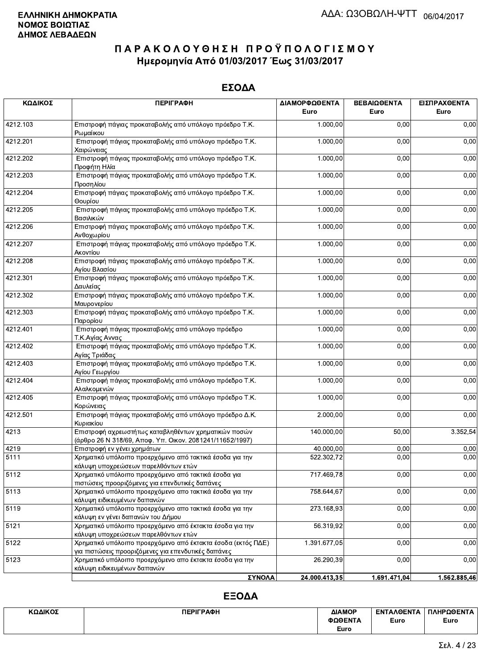#### ΕΣΟΔΑ

| ΚΩΔΙΚΟΣ  | <b>ПЕРІГРАФН</b>                                                                                                    | ΔΙΑΜΟΡΦΩΘΕΝΤΑ | BEBAIQOENTA  | ΕΙΣΠΡΑΧΘΕΝΤΑ |
|----------|---------------------------------------------------------------------------------------------------------------------|---------------|--------------|--------------|
|          |                                                                                                                     | Euro          | Euro         | Euro         |
| 4212.103 | Επιστροφή πάγιας προκαταβολής από υπόλογο πρόεδρο Τ.Κ.<br>Ρωμαίικου                                                 | 1.000,00      | 0,00         | 0,00         |
| 4212.201 | Επιστροφή πάγιας προκαταβολής από υπόλογο πρόεδρο Τ.Κ.<br>Χαιρώνειας                                                | 1.000,00      | 0,00         | 0,00         |
| 4212.202 | Επιστροφή πάγιας προκαταβολής από υπόλογο πρόεδρο Τ.Κ.<br>Προφήτη Ηλία                                              | 1.000,00      | 0,00         | 0,00         |
| 4212.203 | Επιστροφή πάγιας προκαταβολής από υπόλογο πρόεδρο Τ.Κ.<br>Προσηλίου                                                 | 1.000,00      | 0,00         | 0,00         |
| 4212.204 | Επιστροφή πάγιας προκαταβολής από υπόλογο πρόεδρο Τ.Κ.<br>Θουρίου                                                   | 1.000,00      | 0,00         | 0,00         |
| 4212.205 | Επιστροφή πάγιας προκαταβολής από υπόλογο πρόεδρο Τ.Κ.<br>Βασιλικών                                                 | 1.000,00      | 0,00         | 0,00         |
| 4212.206 | Επιστροφή πάγιας προκαταβολής από υπόλογο πρόεδρο Τ.Κ.<br>Ανθοχωρίου                                                | 1.000,00      | 0,00         | 0,00         |
| 4212.207 | Επιστροφή πάγιας προκαταβολής από υπόλογο πρόεδρο Τ.Κ.<br>Ακοντίου                                                  | 1.000,00      | 0,00         | 0,00         |
| 4212.208 | Επιστροφή πάγιας προκαταβολής από υπόλογο πρόεδρο Τ.Κ.<br>Αγίου Βλασίου                                             | 1.000,00      | 0,00         | 0,00         |
| 4212.301 | Επιστροφή πάγιας προκαταβολής από υπόλογο πρόεδρο Τ.Κ.<br>Δαυλείας                                                  | 1.000,00      | 0,00         | 0,00         |
| 4212.302 | Επιστροφή πάγιας προκαταβολής από υπόλογο πρόεδρο Τ.Κ.<br>Μαυρονερίου                                               | 1.000,00      | 0,00         | 0,00         |
| 4212.303 | Επιστροφή πάγιας προκαταβολής από υπόλογο πρόεδρο Τ.Κ.<br>Παρορίου                                                  | 1.000,00      | 0,00         | 0,00         |
| 4212.401 | Επιστροφή πάγιας προκαταβολής από υπόλογο πρόεδρο<br>Τ.Κ.Αγίας Αννας                                                | 1.000,00      | 0,00         | 0,00         |
| 4212.402 | Επιστροφή πάγιας προκαταβολής από υπόλογο πρόεδρο Τ.Κ.<br>Αγίας Τριάδας                                             | 1.000,00      | 0,00         | 0,00         |
| 4212.403 | Επιστροφή πάγιας προκαταβολής από υπόλογο πρόεδρο Τ.Κ.<br>Αγίου Γεωργίου                                            | 1.000,00      | 0,00         | 0,00         |
| 4212.404 | Επιστροφή πάγιας προκαταβολής από υπόλογο πρόεδρο Τ.Κ.<br>Αλαλκομενών                                               | 1.000,00      | 0,00         | 0,00         |
| 4212.405 | Επιστροφή πάγιας προκαταβολής από υπόλογο πρόεδρο Τ.Κ.<br>Κορώνειας                                                 | 1.000,00      | 0,00         | 0,00         |
| 4212.501 | Επιστροφή πάγιας προκαταβολής από υπόλογο πρόεδρο Δ.Κ.<br>Κυριακίου                                                 | 2.000,00      | 0,00         | 0,00         |
| 4213     | Επιστροφή αχρεωστήτως καταβληθέντων χρηματικών ποσών<br>(άρθρο 26 Ν 318/69, Αποφ. Υπ. Οικον. 2081241/11652/1997)    | 140.000,00    | 50,00        | 3.352,54     |
| 4219     | Επιστροφή εν γένει χρημάτων                                                                                         | 40.000,00     | 0,00         | 0,00         |
| 5111     | Χρηματικό υπόλοιπο προερχόμενο από τακτικά έσοδα για την<br>κάλυψη υποχρεώσεων παρελθόντων ετών                     | 522.302,72    | 0,00         | 0,00         |
| 5112     | Χρηματικό υπόλοιπο προερχόμενο από τακτικά έσοδα για<br>πιστώσεις προοριζόμενες για επενδυτικές δαπάνες             | 717.469,78    | 0,00         | 0,00         |
| 5113     | Χρηματικό υπόλοιπο προερχόμενο απο τακτικά έσοδα για την<br>κάλυψη ειδικευμένων δαπανών                             | 758.644,67    | 0,00         | 0,00         |
| 5119     | Χρηματικό υπόλοιπο προερχόμενο απο τακτικά έσοδα για την<br>κάλυψη εν γένει δαπανών του Δήμου                       | 273.168,93    | 0,00         | 0,00         |
| 5121     | Χρηματικό υπόλοιπο προερχόμενο από έκτακτα έσοδα για την<br>κάλυψη υποχρεώσεων παρελθόντων ετών                     | 56.319,92     | 0,00         | 0,00         |
| 5122     | Χρηματικό υπόλοιπο προερχόμενο από έκτακτα έσοδα (εκτός ΠΔΕ)<br>για πιστώσεις προοριζόμενες για επενδυτικές δαπάνες | 1.391.677,05  | 0,00         | 0,00         |
| 5123     | Χρηματικό υπόλοιπο προερχόμενο απο έκτακτα έσοδα για την<br>κάλυψη ειδικευμένων δαπανών                             | 26.290,39     | 0,00         | 0,00         |
|          | <b>ΣΥΝΟΛΑ</b>                                                                                                       | 24.000.413.35 | 1.691.471.04 | 1.562.885.46 |

| ΚΩΔΙΚΟΣ | <b>ПЕРІГРАФН</b> | ΔΙΑΜΟΡ  | <b>ENTAA@ENTA</b> | ΠΛΗΡΩΘΕΝΤΑ |
|---------|------------------|---------|-------------------|------------|
|         |                  | ΦΩΘΕΝΤΑ | Euro              | Euro       |
|         |                  | Euro    |                   |            |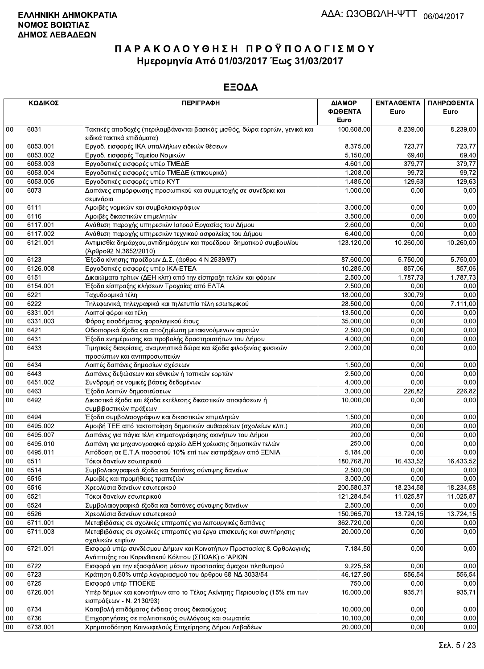|          | ΚΩΔΙΚΟΣ      | <b>ПЕРІГРАФН</b>                                                                                                          | ΔΙΑΜΟΡ<br>ΦΩΘΕΝΤΑ        | ΕΝΤΑΛΘΕΝΤΑ<br>Euro     | ΠΛΗΡΩΘΕΝΤΑ<br>Euro     |
|----------|--------------|---------------------------------------------------------------------------------------------------------------------------|--------------------------|------------------------|------------------------|
|          |              |                                                                                                                           | Euro                     |                        |                        |
| $00\,$   | 6031         | Τακτικές αποδοχές (περιλαμβάνονται βασικός μισθός, δώρα εορτών, γενικά και<br>ειδικά τακτικά επιδόματα)                   | 100.608,00               | 8.239,00               | 8.239,00               |
| 00       | 6053.001     | Εργοδ. εισφορές ΙΚΑ υπαλλήλων ειδικών θέσεων                                                                              | 8.375,00                 | 723,77                 | 723,77                 |
| 00       | 6053.002     | Εργοδ. εισφορές Ταμείου Νομικών                                                                                           | 5.150,00                 | 69,40                  | 69,40                  |
| 00       | 6053.003     | Εργοδοτικές εισφορές υπέρ ΤΜΕΔΕ                                                                                           | 4.601,00                 | 379,77                 | 379,77                 |
| 00       | 6053.004     | Εργοδοτικές εισφορές υπέρ ΤΜΕΔΕ (επικουρικό)                                                                              | 1.208,00                 | 99,72                  | 99,72                  |
| 00       | 6053.005     | Εργοδοτικές εισφορές υπέρ ΚΥΤ                                                                                             | 1.485,00                 | 129,63                 | 129,63                 |
| 00       | 6073         | Δαπάνες επιμόρφωσης προσωπικού και συμμετοχής σε συνέδρια και<br>σεμινάρια                                                | 1.000,00                 | 0,00                   | 0,00                   |
| 00       | 6111         | Αμοιβές νομικών και συμβολαιογράφων                                                                                       | 3.000,00                 | 0,00                   | 0,00                   |
| 00       | 6116         | Αμοιβές δικαστικών επιμελητών                                                                                             | 3.500,00                 | 0.00                   | 0,00                   |
| $00\,$   | 6117.001     | Ανάθεση παροχής υπηρεσιών Ιατρού Εργασίας του Δήμου                                                                       | 2.600,00                 | 0,00                   | 0,00                   |
| 00       | 6117.002     | Ανάθεση παροχής υπηρεσιών τεχνικού ασφαλείας του Δήμου                                                                    | 6.400,00                 | 0,00                   | 0,00                   |
| 00       | 6121.001     | Αντιμισθία δημάρχου, αντιδημάρχων και προέδρου δημοτικού συμβουλίου                                                       | 123.120,00               | 10.260,00              | 10.260,00              |
|          |              | (Άρθρο92 Ν.3852/2010)                                                                                                     |                          |                        |                        |
| 00       | 6123         | Έξοδα κίνησης προέδρων Δ.Σ. (άρθρο 4 Ν 2539/97)                                                                           | 87.600,00                | 5.750,00               | 5.750,00               |
| 00       | 6126.008     | Εργοδοτικές εισφορές υπέρ ΙΚΑ-ΕΤΕΑ                                                                                        | 10.285,00                | 857,06                 | 857,06                 |
| 00       | 6151         | Δικαιώματα τρίτων (ΔΕΗ κλπ) από την είσπραξη τελών και φόρων                                                              | 2.500,00                 | 1.787,73               | 1.787,73               |
| 00       | 6154.001     | Έξοδα είσπραξης κλήσεων Τροχαίας από ΕΛΤΑ                                                                                 | 2.500,00                 | 0,00                   | 0,00                   |
| $00\,$   | 6221         | Ταχυδρομικά τέλη                                                                                                          | 18.000,00                | 300,79                 | 0,00                   |
| 00       | 6222         | Τηλεφωνικά, τηλεγραφικά και τηλετυπία τέλη εσωτερικού                                                                     | 28.500,00                | 0,00                   | 7.111,00               |
| 00       | 6331.001     | Λοιποί φόροι και τέλη                                                                                                     | 13.500,00                | 0.00                   | 0,00                   |
| 00       | 6331.003     | Φόρος εισοδήματος φορολογικού έτους                                                                                       | 35.000,00                | 0,00                   | 0,00                   |
| 00       | 6421         | Οδοιπορικά έξοδα και αποζημίωση μετακινούμενων αιρετών                                                                    | 2.500,00                 | 0,00                   | 0,00                   |
| 00       | 6431         | Έξοδα ενημέρωσης και προβολής δραστηριοτήτων του Δήμου                                                                    | 4.000,00                 | 0,00                   | 0,00                   |
| 00       | 6433         | Τιμητικές διακρίσεις, αναμνηστικά δώρα και έξοδα φιλοξενίας φυσικών                                                       | 2.000,00                 | 0,00                   | 0,00                   |
|          |              | προσώπων και αντιπροσωπειών                                                                                               |                          |                        |                        |
| 00       | 6434         | Λοιπές δαπάνες δημοσίων σχέσεων                                                                                           | 1.500,00                 | 0,00                   | 0,00                   |
| $00\,$   | 6443         | Δαπάνες δεξιώσεων και εθνικών ή τοπικών εορτών                                                                            | 2.500,00                 | 0.00                   | 0.00                   |
| 00       | 6451.002     | Συνδρομή σε νομικές βάσεις δεδομένων                                                                                      | 4.000,00                 | 0.00                   | 0,00                   |
| $00\,$   | 6463         | Έξοδα λοιπών δημοσιεύσεων                                                                                                 | 3.000,00                 | 226,82                 | 226,82                 |
| 00       | 6492         | Δικαστικά έξοδα και έξοδα εκτέλεσης δικαστικών αποφάσεων ή<br>συμβιβαστικών πράξεων                                       | 10.000,00                | 0,00                   | 0,00                   |
| 00       | 6494         | Έξοδα συμβολαιογράφων και δικαστικών επιμελητών                                                                           | 1.500,00                 | 0,00                   | 0,00                   |
| 00       | 6495.002     | Αμοιβή ΤΕΕ από τακτοποίηση δημοτικών αυθαιρέτων (σχολείων κλπ.)                                                           | 200,00                   | 0,00                   | 0,00                   |
| $00\,$   | 6495.007     | Δαπάνες για πάγια τέλη κτηματογράφησης ακινήτων του Δήμου                                                                 | 200,00                   | 0,00                   | 0,00                   |
| 00       | 6495.010     | Δαπάνη για μηχανογραφικό αρχείο ΔΕΗ χρέωσης δημοτικών τελών                                                               | 250,00                   | 0,00                   | 0,00                   |
| 00       | 6495.011     | Απόδοση σε Ε.Τ.Α ποσοστού 10% επί των εισπράξεων από ΞΕΝΙΑ                                                                | 5.184,00                 | 0,00                   | 0,00                   |
| 00       | 6511         | Τόκοι δανείων εσωτερικού                                                                                                  | 180.768,70               | 16.433,52              | 16.433,52              |
| 00       | 6514         | Συμβολαιογραφικά έξοδα και δαπάνες σύναψης δανείων                                                                        | 2.500,00                 | 0,00                   | 0,00                   |
| 00       |              |                                                                                                                           | 3.000,00                 | 0,00                   | 0,00                   |
|          | 6515         | Αμοιβές και προμήθειες τραπεζών                                                                                           |                          |                        |                        |
| 00<br>00 | 6516<br>6521 | Χρεολύσια δανείων εσωτερικού<br>Τόκοι δανείων εσωτερικού                                                                  | 200.580,37<br>121.284,54 | 18.234,58<br>11.025,87 | 18.234,58<br>11.025,87 |
|          |              |                                                                                                                           |                          |                        |                        |
| 00       | 6524         | Συμβολαιογραφικά έξοδα και δαπάνες σύναψης δανείων                                                                        | 2.500,00                 | 0,00                   | 0,00                   |
| 00       | 6526         | Χρεολύσια δανείων εσωτερικού                                                                                              | 150 965,70               | 13.724,15              | 13.724,15              |
| $00\,$   | 6711.001     | Μεταβιβάσεις σε σχολικές επιτροπές για λειτουργικές δαπάνες                                                               | 362.720,00               | 0,00                   | 0,00                   |
| 00       | 6711.003     | Μεταβιβάσεις σε σχολικές επιτροπές για έργα επισκευής και συντήρησης<br>σχολικών κτιρίων                                  | 20.000,00                | 0,00                   | 0,00                   |
| 00       | 6721.001     | Εισφορά υπέρ συνδέσμου Δήμων και Κοινοτήτων Προστασίας & Ορθολογικής<br>Ανάπτυξης του Κορινθιακού Κόλπου (ΣΠΟΑΚ) ο 'ΑΡΙΩΝ | 7.184,50                 | 0,00                   | 0,00                   |
| 00       | 6722         | Εισφορά για την εξασφάλιση μέσων προστασίας άμαχου πληθυσμού                                                              | 9.225,58                 | 0,00                   | 0,00                   |
| 00       | 6723         | Κράτηση 0,50% υπέρ λογαριασμού του άρθρου 68 ΝΔ 3033/54                                                                   | 46.127,90                | 556,54                 | 556,54                 |
| $00\,$   | 6725         | Εισφορά υπέρ ΤΠΟΕΚΕ                                                                                                       | 750,00                   | 0,00                   | 0,00                   |
| 00       | 6726.001     | Υπέρ δήμων και κοινοτήτων απο το Τέλος Ακίνητης Περιουσίας (15% επι των                                                   | 16.000,00                | 935,71                 | 935,71                 |
|          |              | εισπράξεων - Ν. 2130/93)                                                                                                  |                          |                        |                        |
| 00       | 6734         | Καταβολή επιδόματος ένδειας στους δικαιούχους                                                                             | 10.000,00                | 0,00                   | 0,00                   |
| $00\,$   | 6736         | Επιχορηγήσεις σε πολιτιστικούς συλλόγους και σωματεία                                                                     | 10.100,00                | 0,00                   | 0,00                   |
| $00\,$   | 6738.001     | Χρηματοδότηση Κοινωφελούς Επιχείρησης Δήμου Λεβαδέων                                                                      | 20.000,00                | 0,00                   | 0,00                   |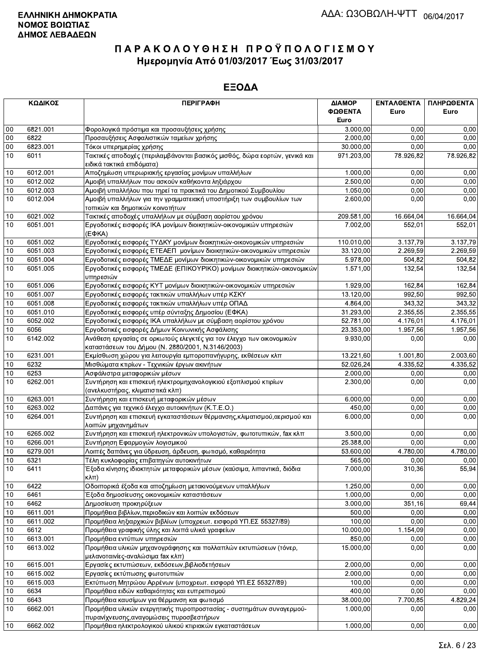|        | ΚΩΔΙΚΟΣ  | <b>ПЕРІГРАФН</b>                                                                                        | ΔΙΑΜΟΡ     | ΕΝΤΑΛΘΕΝΤΑ | ΠΛΗΡΩΘΕΝΤΑ |
|--------|----------|---------------------------------------------------------------------------------------------------------|------------|------------|------------|
|        |          |                                                                                                         | ΦΩΘΕΝΤΑ    | Euro       | Euro       |
|        |          |                                                                                                         | Euro       |            |            |
| 00     | 6821.001 | Φορολογικά πρόστιμα και προσαυξήσεις χρήσης                                                             | 3.000,00   | 0.00       | 0,00       |
| $00\,$ | 6822     | Προσαυξήσεις Ασφαλιστικών ταμείων χρήσης                                                                | 2.000,00   | 0,00       | 0,00       |
| $00\,$ | 6823.001 | Τόκοι υπερημερίας χρήσης                                                                                | 30.000,00  | 0,00       | 0,00       |
| 10     | 6011     | Τακτικές αποδοχές (περιλαμβάνονται βασικός μισθός, δώρα εορτών, γενικά και                              | 971.203,00 | 78.926,82  | 78.926,82  |
|        |          | ειδικά τακτικά επιδόματα)                                                                               |            |            |            |
| 10     | 6012.001 | Αποζημίωση υπερωριακής εργασίας μονίμων υπαλλήλων                                                       | 1.000,00   | 0,00       | 0,00       |
| 10     | 6012.002 | Αμοιβή υπαλλήλων που ασκούν καθήκοντα ληξιάρχου                                                         | 2.500,00   | 0,00       | 0,00       |
| 10     | 6012.003 | Αμοιβή υπαλλήλου που τηρεί τα πρακτικά του Δημοτικού Συμβουλίου                                         | 1.050,00   | 0,00       | 0,00       |
| 10     | 6012.004 | Αμοιβή υπαλλήλων για την γραμματειακή υποστήριξη των συμβουλίων των<br>τοπικών και δημοτικών κοινοτήτων | 2.600,00   | 0,00       | 0,00       |
| 10     | 6021.002 | Τακτικές αποδοχές υπαλλήλων με σύμβαση αορίστου χρόνου                                                  | 209.581,00 | 16.664,04  | 16.664,04  |
| 10     | 6051.001 | Εργοδοτικές εισφορές ΙΚΑ μονίμων διοικητικών-οικονομικών υπηρεσιών                                      | 7.002,00   | 552,01     | 552,01     |
|        |          | $(E\Phi KA)$                                                                                            |            |            |            |
| 10     | 6051.002 | Εργοδοτικές εισφορές ΤΥΔΚΥ μονίμων διοικητικών-οικονομικών υπηρεσιών                                    | 110.010,00 | 3.137,79   | 3.137,79   |
| 10     | 6051.003 | Εργοδοτικές εισφορές ΕΤΕΑΕΠ μονίμων διοικητικών-οικονομικών υπηρεσιών                                   | 33.120,00  | 2.269,59   | 2.269,59   |
| 10     | 6051.004 | Εργοδοτικές εισφορές ΤΜΕΔΕ μονίμων διοικητικών-οικονομικών υπηρεσιών                                    | 5.978.00   | 504,82     | 504,82     |
| 10     | 6051.005 | Εργοδοτικές εισφορές ΤΜΕΔΕ (ΕΠΙΚΟΥΡΙΚΟ) μονίμων διοικητικών-οικονομικών                                 | 1.571,00   | 132,54     | 132,54     |
|        |          | υπηρεσιών                                                                                               |            |            |            |
| 10     | 6051.006 | Εργοδοτικές εισφορές ΚΥΤ μονίμων διοικητικών-οικονομικών υπηρεσιών                                      | 1.929.00   | 162,84     | 162,84     |
| 10     | 6051.007 | Εργοδοτικές εισφορές τακτικών υπαλλήλων υπέρ ΚΣΚΥ                                                       | 13.120,00  | 992,50     | 992,50     |
| 10     | 6051.008 | Εργοδοτικές εισφορές τακτικών υπαλλήλων υπέρ ΟΠΑΔ                                                       | 4.864,00   | 343,32     | 343,32     |
| 10     | 6051.010 | Εργοδοτικές εισφορές υπέρ σύνταξης Δημοσίου (ΕΦΚΑ)                                                      | 31.293,00  | 2.355,55   | 2.355,55   |
| 10     | 6052.002 | Εργοδοτικές εισφορές ΙΚΑ υπαλλήλων με σύμβαση αορίστου χρόνου                                           | 52.781,00  | 4.176,01   | 4.176,01   |
| 10     | 6056     | Εργοδοτικές εισφορές Δήμων Κοινωνικής Ασφάλισης                                                         | 23.353,00  | 1.957,56   | 1.957,56   |
| 10     | 6142.002 | Ανάθεση εργασίας σε ορκωτούς ελεγκτές για τον έλεγχο των οικονομικών                                    | 9.930,00   | 0,00       | 0,00       |
|        |          | καταστάσεων του Δήμου (Ν. 2880/2001, Ν.3146/2003)                                                       |            |            |            |
| 10     | 6231.001 | Εκμίσθωση χώρου για λειτουργία εμποροπανήγυρης, εκθέσεων κλπ                                            | 13.221,60  | 1.001,80   | 2.003,60   |
| 10     | 6232     | Μισθώματα κτιρίων - Τεχνικών έργων ακινήτων                                                             | 52.026,24  | 4.335,52   | 4.335,52   |
| 10     | 6253     | Ασφάλιστρα μεταφορικών μέσων                                                                            | 2.000,00   | 0,00       | 0,00       |
| 10     | 6262.001 | Συντήρηση και επισκευή ηλεκτρομηχανολογικιού εξοπλισμού κτιρίων                                         | 2.300,00   | 0,00       | 0,00       |
|        |          | (ανελκυστήρας, κλιματιστικά κλπ)                                                                        |            |            |            |
| 10     | 6263.001 | Συντήρηση και επισκευή μεταφορικών μέσων                                                                | 6.000,00   | 0,00       | 0,00       |
| 10     | 6263.002 | Δαπάνες για τεχνικό έλεγχο αυτοκινήτων (Κ.Τ.Ε.Ο.)                                                       | 450,00     | 0,00       | 0,00       |
| 10     | 6264.001 | Συντήρηση και επισκευή εγκαταστάσεων θέρμανσης, κλιματισμού, αερισμού και<br>λοιπών μηχανημάτων         | 6.000,00   | 0,00       | 0,00       |
| 10     | 6265.002 | Συντήρηση και επισκευή ηλεκτρονικών υπολογιστών, φωτοτυπικών, fax κλπ                                   | 3.500,00   | 0,00       | 0,00       |
| 10     | 6266.001 | Συντήρηση Εφαρμογών λογισμικού                                                                          | 25.388,00  | 0,00       | 0,00       |
| 10     | 6279.001 | Λοιπές δαπάνες για ύδρευση, άρδευση, φωτισμό, καθαριότητα                                               | 53.600.00  | 4.780,00   | 4.780,00   |
| 10     | 6321     | Τέλη κυκλοφορίας επιβατηγών αυτοκινήτων                                                                 | 565,00     | 0.00       | 0.00       |
| 10     | 6411     | Έξοδα κίνησης ιδιοκτητών μεταφορικών μέσων (καύσιμα, λιπαντικά, διόδια                                  | 7.000,00   | 310,36     | 55,94      |
|        |          | $K\lambda\pi$ )                                                                                         |            |            |            |
| 10     | 6422     | Οδοιπορικά έξοδα και αποζημίωση μετακινούμενων υπαλλήλων                                                | 1.250,00   | 0,00       | 0,00       |
| 10     | 6461     | Έξοδα δημοσίευσης οικονομικών καταστάσεων                                                               | 1.000,00   | 0,00       | 0,00       |
| 10     | 6462     | Δημοσίευση προκηρύξεων                                                                                  | 3.000,00   | 351,16     | 69,44      |
| 10     | 6611.001 | Προμήθεια βιβλίων, περιοδικών και λοιπών εκδόσεων                                                       | 500,00     | 0,00       | 0,00       |
| 10     | 6611.002 | Προμήθεια ληξιαρχικών βιβλίων (υποχρεωτ. εισφορά ΥΠ.ΕΣ 55327/89)                                        | 100,00     | 0,00       | 0,00       |
| 10     | 6612     | Προμήθεια γραφικής ύλης και λοιπά υλικά γραφείων                                                        | 10.000,00  | 1.154,09   | 0,00       |
| 10     | 6613.001 | Προμήθεια εντύπων υπηρεσιών                                                                             | 850,00     | 0,00       | 0,00       |
| 10     | 6613.002 | Προμήθεια υλικών μηχανογράφησης και πολλαπλών εκτυπώσεων (τόνερ,                                        | 15.000,00  | 0,00       | 0,00       |
|        |          | μελανοταινίες-αναλώσιμα fax κλπ)                                                                        |            |            |            |
| 10     | 6615.001 | Εργασίες εκτυπώσεων, εκδόσεων, βιβλιοδετήσεων                                                           | 2.000,00   | 0,00       | 0,00       |
| 10     | 6615.002 | Εργασίες εκτύπωσης φωτοτυπιών                                                                           | 2.000,00   | 0.00       | 0,00       |
| 10     | 6615.003 | Εκτύπωση Μητρώου Αρρένων (υποχρεωτ. εισφορά ΥΠ.ΕΣ 55327/89)                                             | 100,00     | 0,00       | 0,00       |
| 10     | 6634     | Προμήθεια ειδών καθαριότητας και ευπρεπισμού                                                            | 400,00     | 0,00       | 0,00       |
| 10     | 6643     | Προμήθεια καυσίμων για θέρμανση και φωτισμό                                                             | 38.000,00  | 7.700,85   | 4.829,24   |
| 10     | 6662.001 | Προμήθεια υλικών ενεργητικής πυροπροστασίας - συστημάτων συναγερμού-                                    | 1.000,00   | 0,00       | 0,00       |
|        |          | πυρανίχνευσης, αναγομώσεις πυροσβεστήρων                                                                |            |            |            |
| 10     | 6662.002 | Προμήθεια ηλεκτρολογικού υλικού κτιριακών εγκαταστάσεων                                                 | 1.000,00   | 0,00       | 0,00       |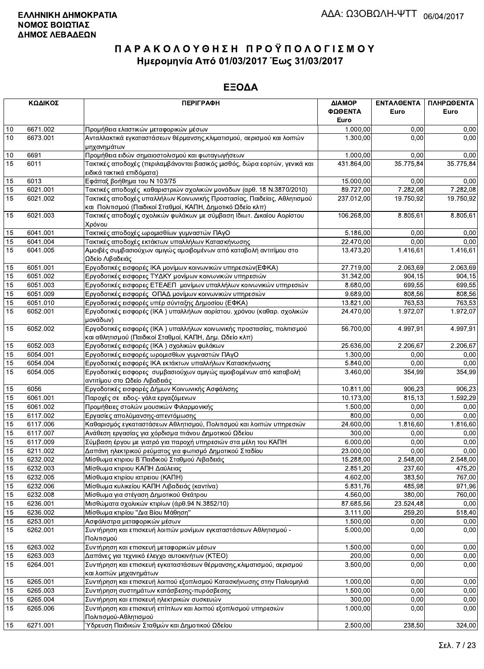|    | ΚΩΔΙΚΟΣ  | <b>ПЕРІГРАФН</b>                                                                                                                       | ΔΙΑΜΟΡ<br>ΦΩΘΕΝΤΑ<br>Euro | ΕΝΤΑΛΘΕΝΤΑ<br>Euro | ΠΛΗΡΩΘΕΝΤΑ<br>Euro |
|----|----------|----------------------------------------------------------------------------------------------------------------------------------------|---------------------------|--------------------|--------------------|
| 10 | 6671.002 | Προμήθεια ελαστικών μεταφορικών μέσων                                                                                                  | 1.000,00                  | 0,00               | 0,00               |
| 10 | 6673.001 | Ανταλλακτικά εγκαταστάσεων θέρμανσης, κλιματισμού, αερισμού και λοιπών                                                                 | 1.300,00                  | 0.00               | 0,00               |
|    |          | μηχανημάτων                                                                                                                            |                           |                    |                    |
| 10 | 6691     | Προμήθεια ειδών σημαιοστολισμού και φωταγωγήσεων                                                                                       | 1.000,00                  | 0.00               | 0,00               |
| 15 | 6011     | Τακτικές αποδοχές (περιλαμβάνονται βασικός μισθός, δώρα εορτών, γενικά και<br>ειδικά τακτικά επιδόματα)                                | 431.864,00                | 35.775,84          | 35.775,84          |
| 15 | 6013     | Εφάπαξ βοήθημα του Ν 103/75                                                                                                            | 15.000,00                 | 0.00               | 0,00               |
| 15 | 6021.001 | Τακτικές αποδοχές καθαριστριών σχολικών μονάδων (αρθ. 18 Ν.3870/2010)                                                                  | 89.727,00                 | 7.282,08           | 7.282,08           |
| 15 | 6021.002 | Τακτικές αποδοχές υπαλλήλων Κοινωνικής Προστασίας, Παιδείας, Αθλητισμού<br>και Πολιτισμού (Παιδικοί Σταθμοί, ΚΑΠΗ, Δημοτικό Ωδείο κλπ) | 237.012,00                | 19.750,92          | 19.750,92          |
| 15 | 6021.003 | Τακτικές αποδοχές σχολικών φυλάκων με σύμβαση Ιδιωτ. Δικαίου Αορίστου<br>Χρόνου                                                        | 106.268,00                | 8.805,61           | 8.805,61           |
| 15 | 6041.001 | Τακτικές αποδοχές ωρομισθίων γυμναστών ΠΑγΟ                                                                                            | 5.186,00                  | 0.00               | 0,00               |
| 15 | 6041.004 | Τακτικές αποδοχές εκτάκτων υπαλλήλων Κατασκήνωσης                                                                                      | 22.470,00                 | 0.00               | 0,00               |
| 15 | 6041.005 | Αμοιβές συμβασιούχων αμιγώς αμοιβομένων από καταβολή αντιτίμου στο<br>Ωδείο Λιβαδειάς                                                  | 13.473,20                 | 1.416,61           | 1.416,61           |
| 15 | 6051.001 | Εργοδοτικές εισφορές ΙΚΑ μονίμων κοινωνικών υπηρεσιών(ΕΦΚΑ)                                                                            | 27.719,00                 | 2.063,69           | 2.063,69           |
| 15 | 6051.002 | Εργοδοτικές εισφορες ΤΥΔΚΥ μονίμων κοινωνικών υπηρεσιών                                                                                | 31.342,00                 | 904.15             | 904,15             |
| 15 | 6051.003 | Εργοδοτικές εισφορες ΕΤΕΑΕΠ μονίμων υπαλλήλων κοινωνικών υπηρεσιών                                                                     | 8.680,00                  | 699,55             | 699,55             |
| 15 | 6051.009 | Εργοδοτικές εισφορές ΟΠΑΔ μονίμων κοινωνικών υπηρεσιών                                                                                 | 9.689,00                  | 808,56             | 808,56             |
| 15 | 6051.010 | Εργοδοτικές εισφορές υπέρ σύνταξης Δημοσίου (ΕΦΚΑ)                                                                                     | 13.821,00                 | 763,53             | 763,53             |
| 15 | 6052.001 | Εργοδοτικές εισφορές (ΙΚΑ) υπαλλήλων αορίστου. χρόνου (καθαρ. σχολικών<br>μονάδων)                                                     | 24.470,00                 | 1.972,07           | 1.972,07           |
| 15 | 6052.002 | Εργοδοτικές εισφορές (ΙΚΑ) υπαλλήλων κοινωνικής προστασίας, πολιτισμού<br>και αθλητισμού (Παιδικοί Σταθμοί, ΚΑΠΗ, Δημ. Ωδείο κλπ)      | 56.700,00                 | 4.997.91           | 4.997,91           |
| 15 | 6052.003 | Εργοδοτικές εισφορές (ΙΚΑ) σχολικών φυλάκων                                                                                            | 25.636,00                 | 2.206,67           | 2.206,67           |
| 15 | 6054.001 | Εργοδοτικές εισφορές ωρομισθίων γυμναστών ΠΑγΟ                                                                                         | 1.300,00                  | 0.00               | 0,00               |
| 15 | 6054.004 | Εργοδοτικές εισφορές ΙΚΑ εκτάκτων υπαλλήλων Κατασκήνωσης                                                                               | 5.840,00                  | 0.00               | 0,00               |
| 15 | 6054.005 | Εργοδοτικές εισφορες συμβασιούχων αμιγώς αμοιβομένων από καταβολή<br>αντιτίμου στο Ωδείο Λιβαδειάς                                     | 3.460,00                  | 354,99             | 354,99             |
| 15 | 6056     | Εργοδοτικές εισφορές Δήμων Κοινωνικής Ασφάλισης                                                                                        | 10.811,00                 | 906,23             | 906,23             |
| 15 | 6061.001 | Παροχές σε ειδος- γάλα εργαζόμενων                                                                                                     | 10.173,00                 | 815.13             | 1.592,29           |
| 15 | 6061.002 | Προμήθειες στολών μουσικών Φιλαρμονικής                                                                                                | 1.500,00                  | 0,00               | 0,00               |
| 15 | 6117.002 | Εργασίες απολύμανσης-απεντόμωσης                                                                                                       | 800,00                    | 0,00               | 0,00               |
| 15 | 6117.006 | Καθαρισμός εγκαταστάσεων Αθλητισμού, Πολιτισμού και λοιπών υπηρεσιών                                                                   | 24.600,00                 | 1.816,60           | 1.816,60           |
| 15 | 6117.007 | Ανάθεση εργασίας για χόρδισμα πιάνου Δημοτικού Ωδείου                                                                                  | 300,00                    | 0.00               | 0,00               |
| 15 | 6117.009 | Σύμβαση έργου με γιατρό για παροχή υπηρεσιών στα μέλη του ΚΑΠΗ                                                                         | 6.000,00                  | 0.00               | 0,00               |
| 15 | 6211.002 | Δαπάνη ηλεκτρικού ρεύματος για φωτισμό Δημοτικού Σταδίου                                                                               | 23.000,00                 | 0,00               | 0,00               |
| 15 | 6232.002 | Μίσθωμα κτιριου Β΄ Παιδικού Σταθμού Λιβαδειάς                                                                                          | 15.288,00                 | 2.548,00           | 2.548,00           |
| 15 | 6232.003 | Μίσθωμα κτιριου ΚΑΠΗ Δαύλειας                                                                                                          | 2.851,20                  | 237,60             | 475,20             |
| 15 | 6232.005 | Μίσθωμα κτιρίου ιατρειου (ΚΑΠΗ)                                                                                                        | 4.602,00                  | 383,50             | 767,00             |
| 15 | 6232.006 | Μίσθωμα κυλικείου ΚΑΠΗ Λιβαδειάς (καντίνα)                                                                                             | 5.831,76                  | 485,98             | 971,96             |
| 15 | 6232.008 | Μίσθωμα για στέγαση Δημοτικού Θεάτρου                                                                                                  | 4.560,00                  | 380,00             | 760,00             |
| 15 | 6236.001 | Μισθώματα σχολικών κτιρίων (άρθ.94 Ν.3852/10)                                                                                          | 87.685,56                 | 23.524,48          | 0,00               |
| 15 | 6236.002 | Μίσθωμα κτιρίου "Δια Βίου Μάθηση"                                                                                                      | 3.111,00                  | 259,20             | 518,40             |
| 15 | 6253.001 | Ασφάλιστρα μεταφορικών μέσων                                                                                                           | 1.500,00                  | 0,00               | 0,00               |
| 15 | 6262.001 | Συντήρηση και επισκευή λοιπών μονίμων εγκαταστάσεων Αθλητισμού -<br>Πολιτισμού                                                         | 5.000,00                  | 0,00               | 0,00               |
| 15 | 6263.002 | Συντήρηση και επισκευή μεταφορικών μέσων                                                                                               | 1.500.00                  | 0,00               | 0,00               |
| 15 | 6263.003 | Δαπάνες για τεχνιικό έλεγχο αυτοκινήτων (ΚΤΕΟ)                                                                                         | 200,00                    | 0,00               | 0,00               |
| 15 | 6264.001 | Συντήρηση και επισκευή εγκαταστάσεων θέρμανσης, κλιματισμού, αερισμού<br>και λοιπών μηχανημάτων                                        | 3.500,00                  | 0,00               | 0,00               |
| 15 | 6265.001 | Συντήρηση και επισκευή λοιπού εξοπλισμού Κατασκήνωσης στην Παλιομηλιά                                                                  | 1.000,00                  | 0,00               | 0,00               |
| 15 | 6265.003 | Συντήρηση συστημάτων κατάσβεσης-πυρόσβεσης                                                                                             | 1.500,00                  | 0,00               | 0,00               |
| 15 | 6265.004 | Συντήρηση και επισκευή ηλεκτρικών συσκευών                                                                                             | 300,00                    | 0,00               | 0,00               |
| 15 | 6265.006 | Συντήρηση και επισκευή επίπλων και λοιπού εξοπλισμού υπηρεσιών<br>Πολιτισμού-Αθλητισμού                                                | 1.000,00                  | 0,00               | 0,00               |
| 15 | 6271.001 | Ύδρευση Παιδικών Σταθμών και Δημοτικού Ωδείου                                                                                          | 2.500,00                  | 238,50             | 324,00             |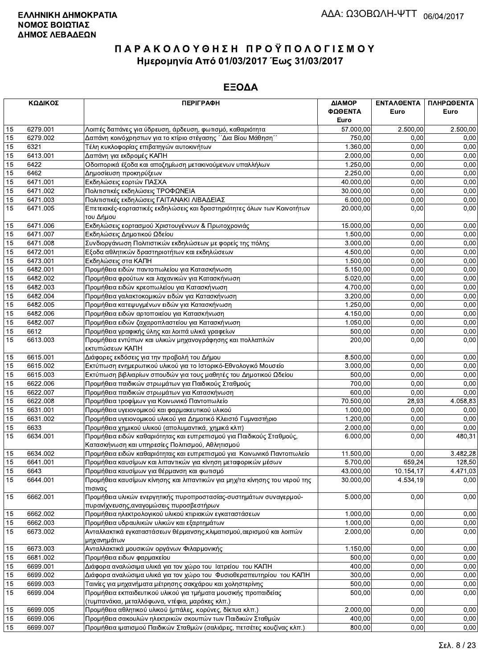|                 | ΚΩΔΙΚΟΣ  | <b>ПЕРІГРАФН</b>                                                                                                         | ΔΙΑΜΟΡ<br>ΦΩΘΕΝΤΑ<br>Euro | ΕΝΤΑΛΘΕΝΤΑ<br>Euro | ΠΛΗΡΩΘΕΝΤΑ<br>Euro |
|-----------------|----------|--------------------------------------------------------------------------------------------------------------------------|---------------------------|--------------------|--------------------|
| 15              | 6279.001 | Λοιπές δαπάνες για ύδρευση, άρδευση, φωτισμό, καθαριότητα                                                                | 57.000,00                 | 2.500,00           | 2.500,00           |
| 15              | 6279.002 | Δαπάνη κοινόχρηστων για το κτίριο στέγασης ΄΄Δια Βίου Μάθηση΄΄                                                           | 750,00                    | 0,00               | 0,00               |
| 15              | 6321     | Τέλη κυκλοφορίας επιβατηγών αυτοκινήτων                                                                                  | 1.360,00                  | 0.00               | 0,00               |
| 15              | 6413.001 | Δαπάνη για εκδρομές ΚΑΠΗ                                                                                                 | 2.000,00                  | 0,00               | 0,00               |
| 15              | 6422     | Οδοιπορικά έξοδα και αποζημίωση μετακινούμενων υπαλλήλων                                                                 | 1.250,00                  | 0,00               | 0,00               |
| 15              | 6462     | Δημοσίευση προκηρύξεων                                                                                                   | 2.250,00                  | 0,00               | 0,00               |
| 15              | 6471.001 | Εκδηλώσεις εορτών ΠΑΣΧΑ                                                                                                  | 40.000,00                 | 0,00               | 0,00               |
| 15              | 6471.002 | Πολιτιστικές εκδηλώσεις ΤΡΟΦΩΝΕΙΑ                                                                                        | 30.000,00                 | 0,00               | 0,00               |
| 15              | 6471.003 | Πολιτιστικές εκδηλώσεις ΓΑΙΤΑΝΑΚΙ ΛΙΒΑΔΕΙΑΣ                                                                              | 6.000,00                  | 0.00               | 0,00               |
| 15              | 6471.005 | Επετειακές-εορταστικές εκδηλώσεις και δραστηριότητες όλων των Κοινοτήτων<br>του Δήμου                                    | 20.000,00                 | 0,00               | 0,00               |
| 15              | 6471.006 | Εκδηλώσεις εορτασμού Χριστουγέννων & Πρωτοχρονιάς                                                                        | 15.000,00                 | 0,00               | 0,00               |
| 15              | 6471.007 | Εκδηλώσεις Δημοτικού Ωδείου                                                                                              | 1.500,00                  | 0,00               | 0,00               |
| 15              | 6471.008 | Συνδιοργάνωση Πολιτιστικών εκδηλώσεων με φορείς της πόλης                                                                | 3.000,00                  | 0,00               | 0,00               |
| 15              | 6472.001 | Εξοδα αθλητικών δραστηριοτήτων και εκδηλώσεων                                                                            | 4.500,00                  | 0.00               | 0,00               |
| 15              | 6473.001 | Εκδηλώσεις στα ΚΑΠΗ                                                                                                      | 1.500,00                  | 0,00               | 0,00               |
| 15              | 6482.001 | Προμήθεια ειδών παντοπωλείου για Κατασκήνωση                                                                             | 5.150,00                  | 0,00               | 0,00               |
| 15              | 6482.002 | Προμήθεια φρούτων και λαχανικών για Κατασκήνωση                                                                          | 5.020,00                  | 0,00               | 0,00               |
| 15              | 6482.003 | Προμήθεια ειδών κρεοπωλείου για Κατασκήνωση                                                                              | 4.700,00                  | 0,00               | 0,00               |
| 15              | 6482.004 | Προμήθεια γαλακτοκομικών ειδών για Κατασκήνωση                                                                           | 3.200.00                  | 0,00               | 0,00               |
| 15              | 6482.005 | Προμήθεια κατεψυγμένων ειδών για Κατασκήνωση                                                                             | 1.250,00                  | 0,00               | 0,00               |
| 15              | 6482.006 | Προμήθεια ειδών αρτοποιείου για Κατασκήνωση                                                                              | 4.150,00                  | 0,00               | 0,00               |
| 15              | 6482.007 | Προμήθεια ειδών ζαχαροπλαστείου για Κατασκήνωση                                                                          | 1.050,00                  | 0,00               | 0,00               |
| 15              | 6612     | Προμήθεια γραφικής ύλης και λοιπά υλικά γραφείων                                                                         | 500,00                    | 0.00               | 0,00               |
| 15              | 6613.003 | Προμήθεια εντύπων και υλικών μηχανογράφησης και πολλαπλών<br>εκτυπώσεων ΚΑΠΗ                                             | 200,00                    | 0.00               | 0,00               |
| 15              | 6615.001 | Διάφορες εκδόσεις για την προβολή του Δήμου                                                                              | 8.500,00                  | 0,00               | 0,00               |
| 15              | 6615.002 | Εκτύπωση ενημερωτικού υλικού για το Ιστορικό-Εθνολογικό Μουσείο                                                          | 3.000,00                  | 0,00               | 0,00               |
| 15              | 6615.003 | Εκτύπωση βιβλιαρίων σπουδών για τους μαθητές του Δημοτικού Ωδείου                                                        | 500,00                    | 0,00               | 0,00               |
| 15              | 6622.006 | Προμήθεια παιδικών στρωμάτων για Παιδικούς Σταθμούς                                                                      | 700,00                    | 0,00               | 0,00               |
| 15              | 6622.007 | Προμήθεια παιδικών στρωμάτων για Κατασκήνωση                                                                             | 600,00                    | 0,00               | 0,00               |
| 15              | 6622.008 | Προμήθεια τροφίμων για Κοινωνικό Παντοπωλείο                                                                             | 70.500,00                 | 28,93              | 4.058,83           |
| 15              | 6631.001 | Προμήθεια υγειονομικού και φαρμακευτικού υλικού                                                                          | 1.000,00                  | 0.00               | 0,00               |
| 15              | 6631.002 | Προμήθεια υγειονομικού υλικού για Δημοτικό Κλειστό Γυμναστήριο                                                           | 1.200,00                  | 0,00               | 0,00               |
| 15              | 6633     | Προμήθεια χημικού υλικού (απολυμαντικά, χημικά κλπ)                                                                      | 2.000,00                  | 0,00               | 0,00               |
| 15              | 6634.001 | Προμήθεια ειδών καθαριότητας και ευπρεπισμού για Παιδικούς Σταθμούς,<br>Κατασκήνωση και υπηρεσίες Πολιτισμού, Αθλητισμού | 6.000,00                  | 0,00               | 480,31             |
| 15              | 6634.002 | Προμήθεια ειδών καθαριότητας και ευπρεπισμού για Κοινωνικό Παντοπωλείο                                                   | 11.500,00                 | 0,00               | 3.482,28           |
| 15              | 6641.001 | Προμήθεια καυσίμων και λιπαντικών για κίνηση μεταφορικών μέσων                                                           | 5.700,00                  | 659,24             | 128,50             |
| 15              | 6643     | Προμήθεια καυσίμων για θέρμανση και φωτισμό                                                                              | 43.000,00                 | 10.154,17          | 4.471,03           |
| $\overline{15}$ | 6644.001 | Προμήθεια καυσίμων κίνησης και λιπαντικών για μηχ/τα κίνησης του νερού της<br>πισινας                                    | 30.000,00                 | 4.534,19           | 0,00               |
| 15              | 6662.001 | Προμήθεια υλικών ενεργητικής πυροπροστασίας-συστημάτων συναγερμού-<br>πυρανίχνευσης, αναγομώσεις πυροσβεστήρων           | 5.000,00                  | 0,00               | 0,00               |
| 15              | 6662.002 | Προμήθεια ηλεκτρολογικού υλικού κτιριακών εγκαταστάσεων                                                                  | 1.000,00                  | 0.00               | 0,00               |
| 15              | 6662.003 | Προμήθεια υδραυλικών υλικών και εξαρτημάτων                                                                              | 1.000,00                  | 0.00               | 0,00               |
| 15              | 6673.002 | Ανταλλακτικά εγκαταστάσεων θέρμανσης, κλιματισμού, αερισμού και λοιπών<br>μηχανημάτων                                    | 2.000,00                  | 0,00               | 0,00               |
| 15              | 6673.003 | Ανταλλακτικά μουσικών οργάνων Φιλαρμονικής                                                                               | 1.150,00                  | 0,00               | 0,00               |
| 15              | 6681.002 | Προμήθεια ειδων φαρμακείου                                                                                               | 500,00                    | 0,00               | 0,00               |
| 15              | 6699.001 | Διάφορα αναλώσιμα υλικά για τον χώρο του Ιατρείου του ΚΑΠΗ                                                               | 400,00                    | 0,00               | 0,00               |
| 15              | 6699.002 | Διάφορα αναλώσιμα υλικά για τον χώρο του Φυσιοθεραπευτηρίου του ΚΑΠΗ                                                     | 300,00                    | 0,00               | 0,00               |
| 15              | 6699.003 | Ταινίες για μηχανήματα μέτρησης σακχάρου και χοληστερίνης                                                                | 500,00                    | 0,00               | 0,00               |
| 15              | 6699.004 | Προμήθεια εκπαιδευτικού υλικού για τμήματα μουσικής προπαιδείας<br>(τυμπανάκια, μεταλλόφωνα, ντέφια, μαράκες κλπ.)       | 500,00                    | 0.00               | 0,00               |
| 15              | 6699.005 | Προμήθεια αθλητικού υλικού (μπάλες, κορύνες, δίκτυα κλπ.)                                                                | 2.000,00                  | 0.00               | 0,00               |
| 15              | 6699.006 | Προμήθεια σακουλών ηλεκτρικών σκουπών των Παιδικών Σταθμών                                                               | 400,00                    | 0,00               | 0,00               |
| 15              | 6699.007 | Προμήθεια ιματισμού Παιδικών Σταθμών (σαλιάρες, πετσέτες κουζίνας κλπ.)                                                  | 800,00                    | 0,00               | 0,00               |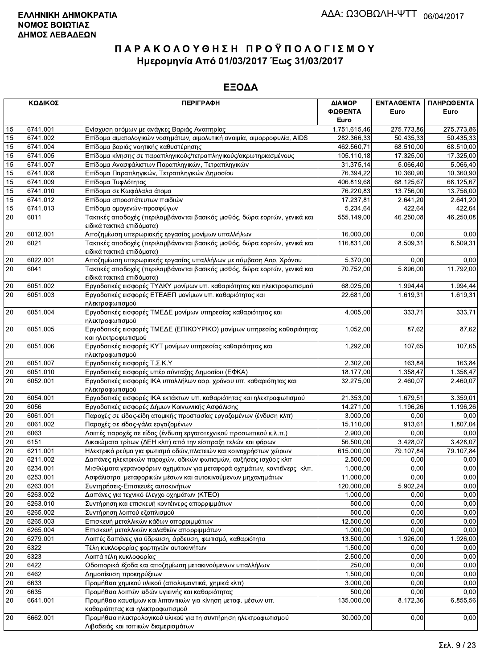|                 | ΚΩΔΙΚΟΣ              | <b>ПЕРІГРАФН</b>                                                                                        | ΔΙΑΜΟΡ                 | ΕΝΤΑΛΘΕΝΤΑ | ΠΛΗΡΩΘΕΝΤΑ |
|-----------------|----------------------|---------------------------------------------------------------------------------------------------------|------------------------|------------|------------|
|                 |                      |                                                                                                         | ΦΩΘΕΝΤΑ                | Euro       | Euro       |
|                 |                      |                                                                                                         | Euro                   |            |            |
| 15              | 6741.001             | Ενίσχυση ατόμων με ανάγκες Βαριάς Αναπηρίας                                                             | 1.751.615,46           | 275.773,86 | 275.773,86 |
| 15              | 6741.002             | Επίδομα αιματολογικών νοσημάτων, αιμολυτική αναιμία, αιμορροφυλία, AIDS                                 | 282.366,33             | 50.435,33  | 50.435,33  |
| 15              | 6741.004             | Επίδομα βαριάς νοητικής καθυστέρησης                                                                    | 462.560,71             | 68.510,00  | 68.510,00  |
| 15              | 6741.005             | Επίδομα κίνησης σε παραπληγικούς/τετραπληγικούς/ακρωτηριασμένους                                        | 105.110,18             | 17.325,00  | 17.325,00  |
| 15              | 6741.007             | Επίδομα Ανασφάλιστων Παραπληγικών, Τετραπληγικών                                                        | 31.375,14              | 5.066,40   | 5.066,40   |
| 15              | 6741.008             | Επίδομα Παραπληγικών, Τετραπληγικών Δημοσίου                                                            | 76.394,22              | 10.360,90  | 10.360,90  |
| 15              | 6741.009             | Επίδομα Τυφλότητας                                                                                      | 406.819,68             | 68.125.67  | 68.125.67  |
| 15              | 6741.010             | Επίδομα σε Κωφάλαλα άτομα                                                                               | 76.220,83              | 13.756,00  | 13.756,00  |
| 15              | 6741.012             | Επίδομα απροστάτευτων παιδιών                                                                           | 17.237,81              | 2.641,20   | 2.641,20   |
| 15              | 6741.013             | Επίδομα ομογενών-προσφύγων                                                                              | 5.234,64               | 422,64     | 422,64     |
| 20              | 6011                 | Τακτικές αποδοχές (περιλαμβάνονται βασικός μισθός, δώρα εορτών, γενικά και                              | 555.149,00             | 46.250,08  | 46.250,08  |
|                 |                      | ειδικά τακτικά επιδόματα)                                                                               |                        |            |            |
| 20              | 6012.001             | Αποζημίωση υπερωριακής εργασίας μονίμων υπαλλήλων                                                       | 16.000,00              | 0,00       | 0,00       |
| 20              | 6021                 | Τακτικές αποδοχές (περιλαμβάνονται βασικός μισθός, δώρα εορτών, γενικά και<br>ειδικά τακτικά επιδόματα) | 116.831,00             | 8.509,31   | 8.509,31   |
| 20              | 6022.001             | Αποζημίωση υπερωριακής εργασίας υπαλλήλων με σύμβαση Αορ. Χρόνου                                        | 5.370,00               | 0,00       | 0,00       |
| 20              | 6041                 | Τακτικές αποδοχές (περιλαμβάνονται βασικός μισθός, δώρα εορτών, γενικά και                              | 70.752,00              | 5.896,00   | 11.792,00  |
|                 |                      | ειδικά τακτικά επιδόματα)                                                                               |                        |            |            |
| 20              | 6051.002             | Εργοδοτικές εισφορές ΤΥΔΚΥ μονίμων υπ. καθαριότητας και ηλεκτροφωτισμού                                 | 68.025,00              | 1.994,44   | 1.994,44   |
| 20              | 6051.003             | Εργοδοτικές εισφορές ΕΤΕΑΕΠ μονίμων υπ. καθαριότητας και                                                | 22.681,00              | 1.619,31   | 1.619,31   |
|                 |                      | ηλεκτροφωτισμού                                                                                         |                        |            |            |
| 20              | 6051.004             | Εργοδοτικές εισφορές ΤΜΕΔΕ μονίμων υπηρεσίας καθαριότητας και                                           | 4.005,00               | 333,71     | 333,71     |
|                 |                      | ηλεκτροφωτισμού                                                                                         |                        |            |            |
| 20              | 6051.005             | Εργοδοτικές εισφορές ΤΜΕΔΕ (ΕΠΙΚΟΥΡΙΚΟ) μονίμων υπηρεσίας καθαριότητας<br>και ηλεκτροφωτισμού           | 1.052,00               | 87,62      | 87,62      |
| 20              | 6051.006             | Εργοδοτικές εισφορές ΚΥΤ μονίμων υπηρεσίας καθαριότητας και                                             | 1.292,00               | 107,65     | 107,65     |
|                 |                      | ηλεκτροφωτισμού                                                                                         |                        |            |            |
| $20\,$          | 6051.007             | Εργοδοτικές εισφορές Τ.Σ.Κ.Υ                                                                            | 2.302,00               | 163.84     | 163,84     |
| $20\,$          | 6051.010             | Εργοδοτικές εισφορές υπέρ σύνταξης Δημοσίου (ΕΦΚΑ)                                                      | 18.177,00              | 1.358,47   | 1.358,47   |
| 20              | 6052.001             | Εργοδοτικές εισφορές ΙΚΑ υπαλλήλων αορ. χρόνου υπ. καθαριότητας και                                     | 32.275,00              | 2.460,07   | 2.460,07   |
|                 |                      | ηλεκτροφωτισμού                                                                                         |                        |            |            |
| 20              | 6054.001             | Εργοδοτικές εισφορές ΙΚΑ εκτάκτων υπ. καθαριότητας και ηλεκτροφωτισμού                                  | 21.353,00              | 1.679,51   | 3.359,01   |
| 20              | 6056                 | Εργοδοτικές εισφορές Δήμων Κοινωνικής Ασφάλισης                                                         | 14.271,00              | 1.196,26   | 1.196,26   |
| 20              | 6061.001             | Παροχές σε είδος-είδη ατομικής προστασίας εργαζομένων (ένδυση κλπ)                                      | 3.000,00               | 0,00       | 0,00       |
| $20\,$          | 6061.002             | Παροχές σε είδος-γάλα εργαζομένων                                                                       | 15.110,00              | 913,61     | 1.807,04   |
| 20              | 6063                 | Λοιπές παροχές σε είδος (ένδυση εργατοτεχνικού προσωπικού κ.λ.π.)                                       | 2.900,00               | 0,00       | 0,00       |
| 20              | 6151                 | Δικαιώματα τρίτων (ΔΕΗ κλπ) από την είσπραξη τελών και φόρων                                            | 56.500,00              | 3.428,07   | 3.428,07   |
| $\overline{20}$ | 6211.001             | Ηλεκτρικό ρεύμα για φωτισμό οδών, πλατειών και κοινοχρήστων χώρων                                       | 615.000,00             | 79.107,84  | 79.107,84  |
| 20              |                      |                                                                                                         |                        | 0.00       | 0,00       |
|                 | 6211.002<br>6234.001 | Δαπάνες ηλεκτρικών παροχών, οδικών φωτισμών, αυξήσεις ισχύος κλπ                                        | 2.500,00               |            |            |
| $20\,$          |                      | Μισθώματα γερανοφόρων οχημάτων για μεταφορά οχημάτων, κοντέϊνερς κλπ.                                   | 1.000,00               | 0,00       | 0,00       |
| 20              | 6253.001             | Ασφάλιστρα μεταφορικών μέσων και αυτοκινούμενων μηχανημάτων                                             | 11.000,00              | 0,00       | 0,00       |
| $20\,$          | 6263.001             | Συντηρήσεις-Επισκευές αυτοκινήτων                                                                       | 120.000,00             | 5.902,24   | 0,00       |
| $20\,$          | 6263.002             | Δαπάνες για τεχνικό έλεγχο οχημάτων (ΚΤΕΟ)                                                              | 1.000,00               | 0,00       | 0,00       |
| $20\,$          | 6263.010             | Συντήρηση και επισκευή κοντέινερς απορριμμάτων                                                          | 500,00                 | 0,00       | 0,00       |
| $\overline{20}$ | 6265.002             | Συντήρηση λοιπού εξοπλισμού                                                                             | 500,00                 | 0,00       | 0,00       |
| 20              | 6265.003             | Επισκευή μεταλλικών κάδων απορριμμάτων                                                                  | 12.500,00              | 0,00       | 0,00       |
| 20              | 6265.004             | Επισκευή μεταλλικών καλαθιών απορριμμάτων                                                               | 1.000,00               | 0,00       | 0,00       |
| 20              | 6279.001             | Λοιπές δαπάνες για ύδρευση, άρδευση, φωτισμό, καθαριότητα                                               | 13.500,00              | 1.926,00   | 1.926,00   |
| $20\,$          | 6322                 | Τέλη κυκλοφορίας φορτηγών αυτοκινήτων                                                                   | 1.500,00               | 0,00       | 0,00       |
| 20              | 6323                 | Λοιπά τέλη κυκλοφορίας                                                                                  | 2.500,00               | 0,00       | 0,00       |
| 20              | 6422                 | Οδοιπορικά έξοδα και αποζημίωση μετακινούμενων υπαλλήλων                                                | 250,00                 | 0,00       | 0,00       |
| 20              | 6462                 | Δημοσίευση προκηρύξεων                                                                                  | 1.500,00               | 0,00       | 0,00       |
| 20              | 6633                 | Προμήθεια χημικού υλικού (απολυμαντικά, χημικά κλπ)                                                     | 3.000,00               | 0,00       | 0,00       |
| $20\,$          | 6635                 | Προμήθεια λοιπών ειδών υγιεινής και καθαριότητας                                                        | 500,00                 | 0,00       | 0,00       |
| 20              | 6641.001             | Προμήθεια καυσίμων και λιπαντικών για κίνηση μεταφ. μέσων υπ.<br>καθαριότητας και ηλεκτροφωτισμού       | 135.000,00             | 8.172,36   | 6.855,56   |
| $20\,$          | 6662.001             | Προμήθεια ηλεκτρολογικού υλικού για τη συντήρηση ηλεκτροφωτισμού                                        | $\overline{30.000,00}$ | 0,00       | 0,00       |
|                 |                      | Λιβαδειάς και τοπικών διαμερισμάτων                                                                     |                        |            |            |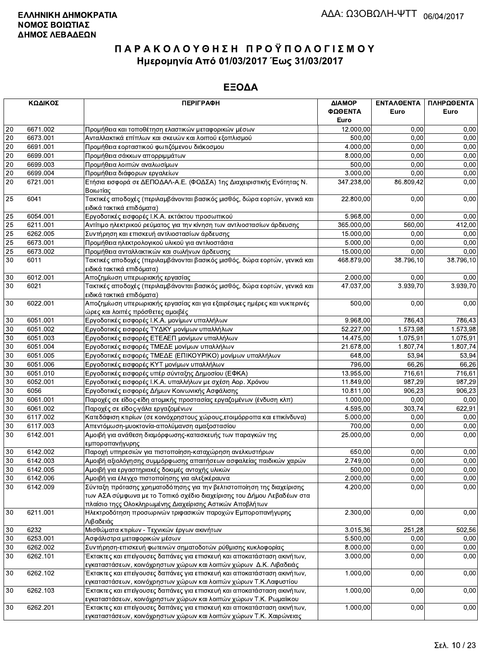|                 | ΚΩΔΙΚΟΣ  | <b>ПЕРІГРАФН</b>                                                                                                                                 | ΔΙΑΜΟΡ<br>ΦΩΘΕΝΤΑ | <b>ENTAA@ENTA</b><br>Euro | ΠΛΗΡΩΘΕΝΤΑ<br>Euro |
|-----------------|----------|--------------------------------------------------------------------------------------------------------------------------------------------------|-------------------|---------------------------|--------------------|
|                 |          |                                                                                                                                                  | Euro              |                           |                    |
| 20              | 6671.002 | Προμήθεια και τοποθέτηση ελαστικών μεταφορικών μέσων                                                                                             | 12.000,00         | 0,00                      | 0,00               |
| 20              | 6673.001 | Ανταλλακτικά επίπλων και σκευών και λοιπού εξοπλισμού                                                                                            | 500,00            | 0,00                      | 0,00               |
| 20              | 6691.001 | Προμήθεια εορταστικού φωτιζόμενου διάκοσμου                                                                                                      | 4.000,00          | 0,00                      | 0,00               |
| $\overline{20}$ | 6699.001 | Προμήθεια σάκκων απορριμμάτων                                                                                                                    | 8.000,00          | 0,00                      | 0,00               |
| $\overline{20}$ | 6699.003 | Προμήθεια λοιπών αναλωσίμων                                                                                                                      | 500,00            | 0,00                      | 0,00               |
| 20              | 6699.004 | Προμήθεια διάφορων εργαλείων                                                                                                                     | 3.000,00          | 0,00                      | 0,00               |
| 20              | 6721.001 | Ετήσια εισφορά σε ΔΕΠΟΔΑΛ-Α.Ε. (ΦΟΔΣΑ) 1ης Διαχειριστικής Ενότητας Ν.<br>Βοιωτίας                                                                | 347.238,00        | 86.809,42                 | 0,00               |
| 25              | 6041     | Τακτικές αποδοχές (περιλαμβάνονται βασικός μισθός, δώρα εορτών, γενικά και<br>ειδικά τακτικά επιδόματα)                                          | 22.800,00         | 0,00                      | 0,00               |
| 25              | 6054.001 | Εργοδοτικές εισφορές Ι.Κ.Α. εκτάκτου προσωπικού                                                                                                  | 5.968,00          | 0,00                      | 0,00               |
| 25              | 6211.001 | Αντίτιμο ηλεκτρικού ρεύματος για την κίνηση των αντλιοστασίων άρδευσης                                                                           | 365.000,00        | 560,00                    | 412,00             |
| 25              | 6262.005 | Συντήρηση και επισκευή αντλιοστασίων άρδευσης                                                                                                    | 15.000,00         | 0,00                      | 0,00               |
| $\overline{25}$ | 6673.001 | Προμήθεια ηλεκτρολογικού υλικού για αντλιοστάσια                                                                                                 | 5.000,00          | 0,00                      | 0,00               |
| 25              | 6673.002 | Προμήθεια ανταλλακτικών και σωλήνων άρδευσης                                                                                                     | 15.000,00         | 0,00                      | 0,00               |
| 30              | 6011     | Τακτικές αποδοχές (περιλαμβάνονται βασικός μισθός, δώρα εορτών, γενικά και<br>ειδικά τακτικά επιδόματα)                                          | 468.879,00        | 38.796,10                 | 38.796,10          |
| $30\,$          | 6012.001 | Αποζημίωση υπερωριακής εργασίας                                                                                                                  | 2.000,00          | 0,00                      | 0,00               |
| 30              | 6021     | Τακτικές αποδοχές (περιλαμβάνονται βασικός μισθός, δώρα εορτών, γενικά και<br>ειδικά τακτικά επιδόματα)                                          | 47.037,00         | 3.939,70                  | 3.939,70           |
| 30              | 6022.001 | Αποζημίωση υπερωριακής εργασίας και για εξαιρέσιμες ημέρες και νυκτερινές<br>ώρες και λοιπές πρόσθετες αμοιβές                                   | 500,00            | 0,00                      | 0,00               |
| 30              | 6051.001 | Εργοδοτικές εισφορές Ι.Κ.Α. μονίμων υπαλλήλων                                                                                                    | 9.968,00          | 786,43                    | 786,43             |
| 30              | 6051.002 | Εργοδοτικές εισφορές ΤΥΔΚΥ μονίμων υπαλλήλων                                                                                                     | 52.227,00         | 1.573,98                  | 1.573,98           |
| 30              | 6051.003 | Εργοδοτικές εισφορές ΕΤΕΑΕΠ μονίμων υπαλλήλων                                                                                                    | 14.475,00         | 1.075,91                  | 1.075,91           |
| 30              | 6051.004 | Εργοδοτικές εισφορές ΤΜΕΔΕ μονίμων υπαλλήλων                                                                                                     | 21.678,00         | 1.807,74                  | 1.807,74           |
| 30              | 6051.005 | Εργοδοτικές εισφορές ΤΜΕΔΕ (ΕΠΙΚΟΥΡΙΚΟ) μονίμων υπαλλήλων                                                                                        | 648,00            | 53,94                     | 53,94              |
| 30              | 6051.006 | Εργοδοτικές εισφορές ΚΥΤ μονίμων υπαλλήλων                                                                                                       | 796,00            | 66,26                     | 66,26              |
| $30\,$          | 6051.010 | Εργοδοτικές εισφορές υπέρ σύνταξης Δημοσίου (ΕΦΚΑ)                                                                                               | 13.955,00         | 716,61                    | 716,61             |
| 30              | 6052.001 | Εργοδοτικές εισφορές Ι.Κ.Α. υπαλλήλων με σχέση Αορ. Χρόνου                                                                                       | 11.849,00         | 987,29                    | 987,29             |
| $30\,$          | 6056     | Εργοδοτικές εισφορές Δήμων Κοινωνικής Ασφάλισης                                                                                                  | 10.811,00         | 906,23                    | 906,23             |
| $\overline{30}$ | 6061.001 | Παροχές σε είδος-είδη ατομικής προστασίας εργαζομένων (ένδυση κλπ)                                                                               | 1.000,00          | 0.00                      | 0,00               |
| 30              | 6061.002 | Παροχές σε είδος-γάλα εργαζομένων                                                                                                                | 4.595,00          | 303,74                    | 622,91             |
| 30              | 6117.002 | Κατεδάφιση κτιρίων (σε κοινόχρηστους χώρους, ετοιμόρροπα και επικίνδυνα)                                                                         | 5.000,00          | 0,00                      | 0,00               |
| 30              | 6117.003 | Απεντόμωση-μυοκτονία-απολύμανση αμαξοστασίου                                                                                                     | 700,00            | 0,00                      | 0,00               |
| 30              | 6142.001 | Αμοιβή για ανάθεση διαμόρφωσης-κατασκευής των παραγκών της<br>εμποροπανήγυρης                                                                    | 25.000,00         | 0,00                      | 0,00               |
| 30              | 6142.002 | Παροχή υπηρεσιών για πιστοποίηση-καταχώρηση ανελκυστήρων                                                                                         | 650,00            | 0,00                      | 0,00               |
| $30\,$          | 6142.003 | Αμοιβή αξιολόγησης συμμόρφωσης απαιτήσεων ασφαλείας παιδικών χαρών                                                                               | 2.749,00          | 0,00                      | 0,00               |
| 30              | 6142.005 | Αμοιβή για εργαστηριακές δοκιμές αντοχής υλικών                                                                                                  | 500,00            | 0,00                      | 0,00               |
| 30              | 6142.006 | Αμοιβή για έλεγχο πιστοποίησης για αλεξικέραυνα                                                                                                  | 2.000,00          | 0,00                      | 0,00               |
| 30              | 6142.009 | Σύνταξη πρότασης χρηματοδότησης για την βελτιστοποίηση της διαχείρισης<br>των ΑΣΑ σύμφωνα με το Τοπικό σχέδιο διαχείρισης του Δήμου Λεβαδέων στα | 4.200,00          | 0,00                      | 0,00               |
|                 |          | πλαίσιο τηςς Ολοκληρωμένης Διαχείρισης Αστικών Αποβλήτων                                                                                         |                   |                           |                    |
| 30              | 6211.001 | Ηλεκτροδότηση προσωρινών τριφασικών παροχών Εμποροπανήγυρης<br>Λιβαδειάς                                                                         | 2.300,00          | 0,00                      | 0,00               |
| 30              | 6232     | Μισθώματα κτιρίων - Τεχνικών έργων ακινήτων                                                                                                      | 3.015,36          | 251,28                    | 502,56             |
| 30              | 6253.001 | Ασφάλιστρα μεταφορικών μέσων                                                                                                                     | 5.500,00          | 0,00                      | 0,00               |
| 30              | 6262.002 | Συντήρηση-επισκευή φωτεινών σηματοδοτών ρύθμισης κυκλοφορίας                                                                                     | 8.000,00          | 0,00                      | 0,00               |
| 30              | 6262.101 | Έκτακτες και επείγουσες δαπάνες για επισκευή και αποκατάσταση ακινήτων,<br>εγκαταστάσεων, κοινόχρηστων χώρων και λοιπών χώρων Δ.Κ. Λιβαδειάς     | 3.000,00          | 0,00                      | 0,00               |
| 30              | 6262.102 | Έκτακτες και επείγουσες δαπάνες για επισκευή και αποκατάσταση ακινήτων,<br>εγκαταστάσεων, κοινόχρηστων χώρων και λοιπών χώρων Τ.Κ.Λαφυστίου      | 1.000,00          | 0,00                      | 0,00               |
| 30              | 6262.103 | Έκτακτες και επείγουσες δαπάνες για επισκευή και αποκατάσταση ακινήτων,<br>εγκαταστάσεων, κοινόχρηστων χώρων και λοιπών χώρων Τ.Κ. Ρωμαίικου     | 1.000,00          | 0,00                      | 0,00               |
| 30              | 6262.201 | Έκτακτες και επείγουσες δαπάνες για επισκευή και αποκατάσταση ακινήτων,<br>ενκαταστάσεων, κοινόχρηστων χώρων και λοιπών χώρων Τ.Κ. Χαιρώνειας    | 1.000,00          | 0,00                      | 0,00               |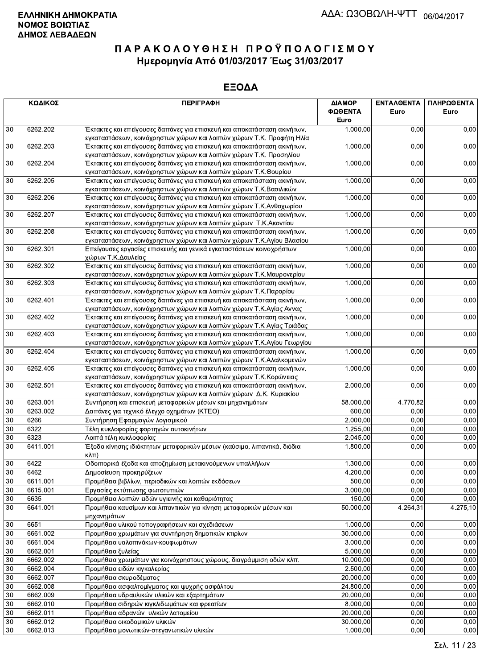|        | ΚΩΔΙΚΟΣ  | <b>ПЕРІГРАФН</b>                                                                                                                                 | ΔΙΑΜΟΡ<br>ΦΩΘΕΝΤΑ<br>Euro | <b>ENTAAGENTA</b><br>Euro | ΠΛΗΡΩΘΕΝΤΑ<br>Euro |
|--------|----------|--------------------------------------------------------------------------------------------------------------------------------------------------|---------------------------|---------------------------|--------------------|
| 30     | 6262.202 | Έκτακτες και επείγουσες δαπάνες για επισκευή και αποκατάσταση ακινήτων,                                                                          | 1.000,00                  | 0,00                      | 0,00               |
|        |          | εγκαταστάσεων, κοινόχρηστων χώρων και λοιπών χώρων Τ.Κ. Προφήτη Ηλία                                                                             |                           |                           |                    |
| 30     | 6262.203 | Έκτακτες και επείγουσες δαπάνες για επισκευή και αποκατάσταση ακινήτων,                                                                          | 1.000,00                  | 0,00                      | 0,00               |
|        |          | εγκαταστάσεων, κοινόχρηστων χώρων και λοιπών χώρων Τ.Κ. Προσηλίου                                                                                |                           |                           |                    |
| 30     | 6262.204 | Έκτακτες και επείγουσες δαπάνες για επισκευή και αποκατάσταση ακινήτων,                                                                          | 1.000,00                  | 0,00                      | 0,00               |
|        |          | εγκαταστάσεων, κοινόχρηστων χώρων και λοιπών χώρων Τ.Κ.Θουρίου                                                                                   |                           |                           |                    |
| 30     | 6262.205 | Έκτακτες και επείγουσες δαπάνες για επισκευή και αποκατάσταση ακινήτων,                                                                          | 1.000,00                  | 0,00                      | 0,00               |
| 30     | 6262.206 | εγκαταστάσεων, κοινόχρηστων χώρων και λοιπών χώρων Τ.Κ.Βασιλικών<br>Έκτακτες και επείγουσες δαπάνες για επισκευή και αποκατάσταση ακινήτων,      | 1.000,00                  | 0,00                      | 0,00               |
|        |          | εγκαταστάσεων, κοινόχρηστων χώρων και λοιπών χώρων Τ.Κ.Ανθοχωρίου                                                                                |                           |                           |                    |
| 30     | 6262.207 | Έκτακτες και επείγουσες δαπάνες για επισκευή και αποκατάσταση ακινήτων,                                                                          | 1.000,00                  | 0,00                      | 0,00               |
|        |          | εγκαταστάσεων, κοινόχρηστων χώρων και λοιπών χώρων Τ.Κ. Ακοντίου                                                                                 |                           |                           |                    |
| 30     | 6262.208 | Έκτακτες και επείγουσες δαπάνες για επισκευή και αποκατάσταση ακινήτων,                                                                          | 1.000,00                  | 0,00                      | 0,00               |
|        |          | εγκαταστάσεων, κοινόχρηστων χώρων και λοιπών χώρων Τ.Κ.Αγίου Βλασίου                                                                             |                           |                           |                    |
| 30     | 6262.301 | Επείγουσες εργασίες επισκευής και γενικά εγκαταστάσεων κοινοχρήστων                                                                              | 1.000,00                  | 0,00                      | 0,00               |
|        |          | χώρων Τ.Κ.Δαυλείας                                                                                                                               |                           |                           |                    |
| 30     | 6262.302 | Έκτακτες και επείγουσες δαπάνες για επισκευή και αποκατάσταση ακινήτων,                                                                          | 1.000,00                  | 0,00                      | 0,00               |
|        |          | εγκαταστάσεων, κοινόχρηστων χώρων και λοιπών χώρων Τ.Κ.Μαυρονερίου                                                                               |                           |                           |                    |
| 30     | 6262.303 | Έκτακτες και επείγουσες δαπάνες για επισκευή και αποκατάσταση ακινήτων,                                                                          | 1.000,00                  | 0,00                      | 0,00               |
|        |          | εγκαταστάσεων, κοινόχρηστων χώρων και λοιπών χώρων Τ.Κ.Παρορίου                                                                                  |                           |                           |                    |
| 30     | 6262.401 | Έκτακτες και επείγουσες δαπάνες για επισκευή και αποκατάσταση ακινήτων,                                                                          | 1.000,00                  | 0,00                      | 0,00               |
|        |          | εγκαταστάσεων, κοινόχρηστων χώρων και λοιπών χώρων Τ.Κ.Αγίας Αννας                                                                               |                           |                           |                    |
| 30     | 6262.402 | Έκτακτες και επείγουσες δαπάνες για επισκευή και αποκατάσταση ακινήτων,                                                                          | 1.000,00                  | 0,00                      | 0,00               |
| 30     | 6262.403 | εγκαταστάσεων, κοινόχρηστων χώρων και λοιπών χώρων Τ.Κ Αγίας Τριάδας                                                                             | 1.000,00                  | 0,00                      | 0,00               |
|        |          | Έκτακτες και επείγουσες δαπάνες για επισκευή και αποκατάσταση ακινήτων,<br>εγκαταστάσεων, κοινόχρηστων χώρων και λοιπών χώρων Τ.Κ.Αγίου Γεωργίου |                           |                           |                    |
| 30     | 6262.404 | Έκτακτες και επείγουσες δαπάνες για επισκευή και αποκατάσταση ακινήτων,                                                                          | 1.000,00                  | 0,00                      | 0,00               |
|        |          | εγκαταστάσεων, κοινόχρηστων χώρων και λοιπών χώρων Τ.Κ.Αλαλκομενών                                                                               |                           |                           |                    |
| 30     | 6262.405 | Έκτακτες και επείγουσες δαπάνες για επισκευή και αποκατάσταση ακινήτων,                                                                          | 1.000,00                  | 0,00                      | 0,00               |
|        |          | εγκαταστάσεων, κοινόχρηστων χώρων και λοιπών χώρων Τ.Κ.Κορώνειας                                                                                 |                           |                           |                    |
| 30     | 6262.501 | Έκτακτες και επείγουσες δαπάνες για επισκευή και αποκατάσταση ακινήτων,                                                                          | 2.000,00                  | 0,00                      | 0,00               |
|        |          | εγκαταστάσεων, κοινόχρηστων χώρων και λοιπών χώρων Δ.Κ. Κυριακίου                                                                                |                           |                           |                    |
| $30\,$ | 6263.001 | Συντήρηση και επισκευή μεταφορικών μέσων και μηχανημάτων                                                                                         | 58.000,00                 | 4.770,82                  | 0,00               |
| 30     | 6263.002 | Δαπάνες για τεχνικό έλεγχο οχημάτων (ΚΤΕΟ)                                                                                                       | 600,00                    | 0,00                      | 0,00               |
| 30     | 6266     | Συντήρηση Εφαρμογών λογισμικού                                                                                                                   | 2.000,00                  | 0,00                      | 0,00               |
| 30     | 6322     | Τέλη κυκλοφορίας φορτηγών αυτοκινήτων                                                                                                            | 1.255,00                  | 0,00                      | 0,00               |
| 30     | 6323     | Λοιπά τέλη κυκλοφορίας                                                                                                                           | 2.045,00                  | 0,00                      | 0,00               |
| 30     | 6411.001 | Έξοδα κίνησης ιδιόκτητων μεταφορικών μέσων (καύσιμα, λιπαντικά, διόδια<br>κλπ)                                                                   | 1.800,00                  | 0,00                      | 0,00               |
| 30     | 6422     | .<br>Οδοιπορικά έξοδα και αποζημίωση μετακινούμενων υπαλλήλων                                                                                    | 1.300,00                  | 0,00                      | 0,00               |
| 30     | 6462     | Δημοσίευση προκηρύξεων                                                                                                                           | 4.200,00                  | 0,00                      | 0,00               |
| 30     | 6611.001 | Προμήθεια βιβλίων, περιοδικών και λοιπών εκδόσεων                                                                                                | 500,00                    | 0,00                      | 0,00               |
| 30     | 6615.001 | Εργασίες εκτύπωσης φωτοτυπιών                                                                                                                    | 3.000,00                  | 0,00                      | 0,00               |
| 30     | 6635     | Προμήθεια λοιπών ειδών υγιεινής και καθαριότητας                                                                                                 | 150,00                    | 0,00                      | 0,00               |
| 30     | 6641.001 | Προμήθεια καυσίμων και λιπαντικών για κίνηση μεταφορικών μέσων και                                                                               | 50.000,00                 | 4.264,31                  | 4.275,10           |
|        |          | μηχανημάτων                                                                                                                                      |                           |                           |                    |
| 30     | 6651     | Προμήθεια υλικού τοπογραφήσεων και σχεδιάσεων                                                                                                    | 1.000,00                  | 0,00                      | 0,00               |
| 30     | 6661.002 | Προμήθεια χρωμάτων για συντήρηση δημοτικών κτιρίων                                                                                               | 30.000,00                 | 0.00                      | 0,00               |
| 30     | 6661.004 | Προμήθεια υαλοπινάκων-κουφωμάτων                                                                                                                 | 3.000,00                  | 0,00                      | 0,00               |
| 30     | 6662.001 | Προμήθεια ξυλείας                                                                                                                                | 5.000,00                  | 0,00                      | 0,00               |
| 30     | 6662.002 | Προμήθεια χρωμάτων για κοινόχρηστους χώρους, διαγράμμιση οδών κλπ.                                                                               | 10.000,00                 | 0,00                      | 0,00               |
| 30     | 6662.004 | Προμήθεια ειδών κιγκαλερίας                                                                                                                      | 2.500,00                  | 0,00                      | 0,00               |
| 30     | 6662.007 | Προμήθεια σκυροδέματος                                                                                                                           | 20.000,00                 | 0,00                      | 0,00               |
| 30     | 6662.008 | Προμήθεια ασφαλτομίγματος και ψυχρής ασφάλτου                                                                                                    | 24.800,00                 | 0,00                      | 0,00               |
| 30     | 6662.009 | Προμήθεια υδραυλικών υλικών και εξαρτημάτων                                                                                                      | 20.000,00                 | 0,00                      | 0,00               |
| 30     | 6662.010 | Προμήθεια σιδηρών κιγκλιδωμάτων και φρεατίων                                                                                                     | 8.000,00                  | 0,00                      | 0,00               |
| 30     | 6662.011 | Προμήθεια αδρανών υλικών λατομείου                                                                                                               | 20.000,00                 | 0,00                      | 0,00               |
| 30     | 6662.012 | Προμήθεια οικοδομικών υλικών                                                                                                                     | 30.000,00                 | 0,00                      | 0,00               |
| 30     | 6662.013 | Προμήθεια μονωτικών-στεγανωτικών υλικών                                                                                                          | 1.000,00                  | 0,00                      | 0,00               |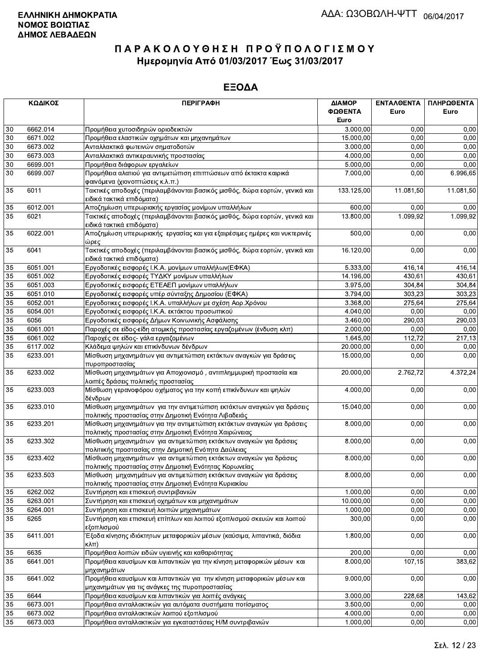|    | ΚΩΔΙΚΟΣ  | <b>ПЕРІГРАФН</b>                                                                                                               | ΔΙΑΜΟΡ<br>ΦΩΘΕΝΤΑ<br>Euro | ΕΝΤΑΛΘΕΝΤΑ<br>Euro | ΠΛΗΡΩΘΕΝΤΑ<br>Euro |
|----|----------|--------------------------------------------------------------------------------------------------------------------------------|---------------------------|--------------------|--------------------|
| 30 | 6662.014 | Προμήθεια χυτοσιδηρών οριοδεικτών                                                                                              | 3.000,00                  | 0,00               | 0,00               |
| 30 | 6671.002 | Προμήθεια ελαστικών οχημάτων και μηχανημάτων                                                                                   | 15.000,00                 | 0,00               | 0,00               |
| 30 | 6673.002 | Ανταλλακτικά φωτεινών σηματοδοτών                                                                                              | 3.000,00                  | 0.00               | 0,00               |
| 30 | 6673.003 | Ανταλλακτικά αντικεραυνικής προστασίας                                                                                         | 4.000,00                  | 0,00               | 0,00               |
| 30 | 6699.001 | Προμήθεια διάφορων εργαλείων                                                                                                   | 5.000,00                  | 0,00               | 0,00               |
| 30 | 6699.007 | Προμήθεια αλατιού για αντιμετώπιση επιπτώσεων από έκτακτα καιρικά                                                              | 7.000,00                  | 0,00               | 6.996,65           |
|    |          | φαινόμενα (χιονοπτώσεις κ.λ.π.)                                                                                                |                           |                    |                    |
| 35 | 6011     | Τακτικές αποδοχές (περιλαμβάνονται βασικός μισθός, δώρα εορτών, γενικά και<br>ειδικά τακτικά επιδόματα)                        | 133.125,00                | 11.081,50          | 11.081,50          |
| 35 | 6012.001 | Αποζημίωση υπερωριακής εργασίας μονίμων υπαλλήλων                                                                              | 600,00                    | 0,00               | 0,00               |
| 35 | 6021     | Τακτικές αποδοχές (περιλαμβάνονται βασικός μισθός, δώρα εορτών, γενικά και<br>ειδικά τακτικά επιδόματα)                        | 13.800,00                 | 1.099,92           | 1.099,92           |
| 35 | 6022.001 | Αποζημίωση υπερωριακής εργασίας και για εξαιρέσιμες ημέρες και νυκτερινές<br>ώρες                                              | 500,00                    | 0,00               | 0,00               |
| 35 | 6041     | Τακτικές αποδοχές (περιλαμβάνονται βασικός μισθός, δώρα εορτών, γενικά και<br>ειδικά τακτικά επιδόματα)                        | 16.120,00                 | 0,00               | 0,00               |
| 35 | 6051.001 | Εργοδοτικές εισφορές Ι.Κ.Α. μονίμων υπαλλήλων(ΕΦΚΑ)                                                                            | 5.333,00                  | 416,14             | 416,14             |
| 35 | 6051.002 | Εργοδοτικές εισφορές ΤΥΔΚΥ μονίμων υπαλλήλων                                                                                   | 14.196,00                 | 430,61             | 430,61             |
| 35 | 6051.003 | Εργοδοτικές εισφορές ΕΤΕΑΕΠ μονίμων υπαλλήλων                                                                                  | 3.975,00                  | 304,84             | 304,84             |
| 35 | 6051.010 | Εργοδοτικές εισφορές υπέρ σύνταξης Δημοσίου (ΕΦΚΑ)                                                                             | 3.794,00                  | 303,23             | 303,23             |
| 35 | 6052.001 | Εργοδοτικες εισφορές Ι.Κ.Α. υπαλλήλων με σχέση Αορ.Χρόνου                                                                      | 3.368,00                  | 275,64             | 275,64             |
| 35 | 6054.001 | Εργοδοτικές εισφορές Ι.Κ.Α. εκτάκτου προσωπικού                                                                                | 4.040,00                  | 0,00               | 0,00               |
| 35 | 6056     | Εργοδοτικές εισφορές Δήμων Κοινωνικής Ασφάλισης                                                                                | 3.460,00                  | 290,03             | 290,03             |
| 35 | 6061.001 | Παροχές σε είδος-είδη ατομικής προστασίας εργαζομένων (ένδυση κλπ)                                                             | 2.000,00                  | 0.00               | 0,00               |
| 35 | 6061.002 | Παροχές σε είδος- γάλα εργαζομένων                                                                                             | 1.645,00                  | 112,72             | 217,13             |
| 35 | 6117.002 | Κλάδεμα ψηλών και επικίνδυνων δένδρων                                                                                          | 20.000,00                 | 0,00               | 0,00               |
| 35 | 6233.001 | Μίσθωση μηχανημάτων για αντιμετώπιση εκτάκτων αναγκών για δράσεις<br>πυροπροστασίας                                            | 15.000,00                 | 0,00               | 0,00               |
| 35 | 6233.002 | Μίσθωση μηχανημάτων για Αποχιονισμό, αντιπλημμυρική προστασία και<br>λοιπές δράσεις πολιτικής προστασίας                       | 20.000,00                 | 2.762,72           | 4.372,24           |
| 35 | 6233.003 | Μίσθωση γερανοφόρου οχήματος για την κοπή επικίνδυνων και ψηλών<br>δένδρων                                                     | 4.000,00                  | 0,00               | 0,00               |
| 35 | 6233.010 | Μίσθωση μηχανημάτων για την αντιμετώπιση εκτάκτων αναγκών για δράσεις<br>πολιτικής προστασίας στην Δημοτική Ενότητα Λιβαδειάς  | 15.040,00                 | 0,00               | 0,00               |
| 35 | 6233.201 | Μίσθωση μηχανημάτων για την αντιμετώπιση εκτάκτων αναγκών για δράσεις<br>πολιτικής προστασίας στην Δημοτική Ενότητα Χαιρώνειας | 8.000,00                  | 0,00               | 0,00               |
| 35 | 6233.302 | Μίσθωση μηχανημάτων για αντιμετώπιση εκτάκτων αναγκών για δράσεις<br>πολιτιικής προστασίας στην Δημοτική Ενότητα Δαύλειας      | 8.000,00                  | 0,00               | 0,00               |
| 35 | 6233.402 | Μίσθωση μηχανημάτων για αντιμετώπιση εκτάκτων αναγκών για δράσεις<br>πολιτικής προστασίας στην Δημοτική Ενότητας Κορωνείας     | 8.000,00                  | 0,00               | 0,00               |
| 35 | 6233.503 | Μίσθωση μηχανημάτων για αντιμετώπιση εκτάκτων αναγκών για δράσεις<br>πολιτικής προστασίας στην Δημοτική Ενότητα Κυριακίου      | 8.000,00                  | 0,00               | 0,00               |
| 35 | 6262.002 | Συντήρηση και επισκευή συντριβανιών                                                                                            | 1.000,00                  | 0,00               | 0,00               |
| 35 | 6263.001 | Συντήρηση και επισκευή οχημάτων και μηχανημάτων                                                                                | 10.000,00                 | 0,00               | 0,00               |
| 35 | 6264.001 | Συντήρηση και επισκευή λοιπών μηχανημάτων                                                                                      | 1.000,00                  | 0,00               | 0,00               |
| 35 | 6265     | Συντήρηση και επισκευή επίπλων και λοιπού εξοπλισμού σκευών και λοιπού<br>εξοπλισμού                                           | 300,00                    | 0,00               | 0,00               |
| 35 | 6411.001 | Έξοδα κίνησης ιδιόκτητων μεταφορικών μέσων (καύσιμα, λιπαντικά, διόδια<br>$K\lambda\pi$ )                                      | 1.800,00                  | 0,00               | 0,00               |
| 35 | 6635     | Προμήθεια λοιπών ειδών υγιεινής και καθαριότητας                                                                               | 200,00                    | 0,00               | 0,00               |
| 35 | 6641.001 | Προμήθεια καυσίμων και λιπαντικών για την κίνηση μεταφορικών μέσων και<br>μηχανημάτων                                          | 8.000,00                  | 107,15             | 383,62             |
| 35 | 6641.002 | Προμήθεια καυσίμων και λιπαντικών για την κίνηση μεταφορικών μέσων και<br>μηχανημάτων για τις ανάγκες της πυροπροστασίας       | 9.000,00                  | 0,00               | 0,00               |
| 35 | 6644     | Προμήθεια καυσίμων και λιπαντικών για λοιπές ανάγκες                                                                           | 3.000,00                  | 228,68             | 143,62             |
| 35 | 6673.001 | Προμήθεια ανταλλακτικών για αυτόματα συστήματα ποτίσματος                                                                      | 3.500,00                  | 0,00               | 0,00               |
| 35 | 6673.002 | Προμήθεια ανταλλακτικών λοιπού εξοπλισμού                                                                                      | 4.000,00                  | 0,00               | 0,00               |
| 35 | 6673.003 | Προμήθεια ανταλλακτικών για εγκαταστάσεις Η/Μ συντριβανιών                                                                     | 1.000,00                  | 0,00               | 0,00               |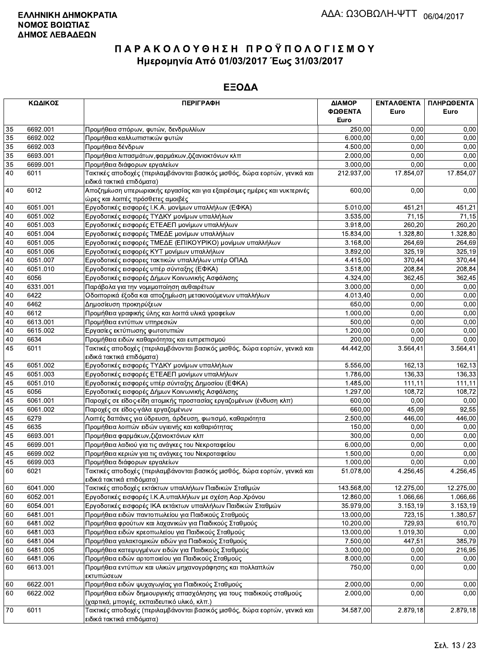|                 | ΚΩΔΙΚΟΣ  | <b>ПЕРІГРАФН</b>                                                                                                     | ΔΙΑΜΟΡ<br>ΦΩΘΕΝΤΑ<br>Euro | ΕΝΤΑΛΘΕΝΤΑ<br>Euro | ΠΛΗΡΩΘΕΝΤΑ<br>Euro |
|-----------------|----------|----------------------------------------------------------------------------------------------------------------------|---------------------------|--------------------|--------------------|
| 35              | 6692.001 | Προμήθεια σπόρων, φυτών, δενδρυλλίων                                                                                 | 250,00                    | 0.00               | 0,00               |
| 35              | 6692.002 | Προμήθεια καλλωπιστικών φυτών                                                                                        | 6.000,00                  | 0.00               | 0,00               |
| 35              | 6692.003 | Προμήθεια δένδρων                                                                                                    | 4.500,00                  | 0,00               | 0,00               |
| $\overline{35}$ | 6693.001 | Προμήθεια λιπασμάτων, φαρμάκων, ζιζανιοκτόνων κλπ                                                                    | 2.000,00                  | 0,00               | 0,00               |
| 35              | 6699.001 | Προμήθεια διάφορων εργαλείων                                                                                         | 3.000,00                  | 0,00               | 0,00               |
| 40              | 6011     | Τακτικές αποδοχές (περιλαμβάνονται βασικός μισθός, δώρα εορτών, γενικά και<br>ειδικά τακτικά επιδόματα)              | 212.937,00                | 17.854,07          | 17.854,07          |
| 40              | 6012     | Αποζημίωση υπερωριακής εργασίας και για εξαιρέσιμες ημέρες και νυκτερινές<br>ώρες και λοιπές πρόσθετες αμοιβές       | 600,00                    | 0,00               | 0,00               |
| 40              | 6051.001 | Εργοδοτικές εισφορές Ι.Κ.Α. μονίμων υπαλλήλων (ΕΦΚΑ)                                                                 | 5.010,00                  | 451,21             | 451,21             |
| 40              | 6051.002 | Εργοδοτικές εισφορές ΤΥΔΚΥ μονίμων υπαλλήλων                                                                         | 3.535,00                  | 71,15              | 71,15              |
| 40              | 6051.003 | Εργοδοτικές εισφορές ΕΤΕΑΕΠ μονίμων υπαλλήλων                                                                        | 3.918,00                  | 260,20             | 260,20             |
| 40              | 6051.004 | Εργοδοτικές εισφορές ΤΜΕΔΕ μονίμων υπαλλήλων                                                                         | 15.834,00                 | 1.328,80           | 1.328,80           |
| 40              | 6051.005 | Εργοδοτικές εισφορές ΤΜΕΔΕ (ΕΠΙΚΟΥΡΙΚΟ) μονίμων υπαλλήλων                                                            | 3.168,00                  | 264,69             | 264,69             |
| 40              | 6051.006 | Εργοδοτικές εισφορές ΚΥΤ μονίμων υπαλλήλων                                                                           | 3.892,00                  | 325,19             | 325,19             |
| 40              | 6051.007 | Εργοδοτικές εισφορες τακτικών υπαλλήλων υπέρ ΟΠΑΔ                                                                    | 4.415,00                  | 370,44             | 370,44             |
| 40              | 6051.010 | Εργοδοτικές εισφορές υπέρ σύνταξης (ΕΦΚΑ)                                                                            | 3.518,00                  | 208,84             | 208,84             |
| 40              | 6056     | Εργοδοτικές εισφορές Δήμων Κοινωνικής Ασφάλισης                                                                      | 4.324,00                  | 362,45             | 362,45             |
| 40              | 6331.001 | Παράβολα για την νομιμοποίηση αυθαιρέτων                                                                             | 3.000,00                  | 0,00               | 0,00               |
| 40              | 6422     | Οδοιπορικά έξοδα και αποζημίωση μετακινούμενων υπαλλήλων                                                             | 4.013,40                  | 0,00               | 0,00               |
| 40              | 6462     | Δημοσίευση προκηρύξεων                                                                                               | 650,00                    | 0,00               | 0,00               |
| 40              | 6612     | Προμήθεια γραφικής ύλης και λοιπά υλικά γραφείων                                                                     | 1.000,00                  | 0,00               | 0,00               |
| 40              | 6613.001 | Προμήθεια εντύπων υπηρεσιών                                                                                          | 500,00                    | 0,00               | 0,00               |
| 40              | 6615.002 | Εργασίες εκτύπωσης φωτοτυπιών                                                                                        | 1.200,00                  | 0,00               | 0,00               |
| 40              | 6634     | Προμήθεια ειδών καθαριότητας και ευπρεπισμού                                                                         | 200,00                    | 0,00               | 0,00               |
| 45              | 6011     | Τακτικές αποδοχές (περιλαμβάνονται βασικός μισθός, δώρα εορτών, γενικά και<br>ειδικά τακτικά επιδόματα)              | 44.442,00                 | 3.564,41           | 3.564,41           |
| 45              | 6051.002 | Εργοδοτικές εισφορές ΤΥΔΚΥ μονίμων υπαλλήλων                                                                         | 5.556,00                  | 162,13             | 162,13             |
| 45              | 6051.003 | Εργοδοτικές εισφορές ΕΤΕΑΕΠ μονίμων υπαλλήλων                                                                        | 1.786,00                  | 136,33             | 136,33             |
| 45              | 6051.010 | Εργοδοτικές εισφορές υπέρ σύνταξης Δημοσίου (ΕΦΚΑ)                                                                   | 1.485,00                  | 111,11             | 111,11             |
| 45              | 6056     | Εργοδοτικές εισφορές Δήμων Κοινωνικής Ασφάλισης                                                                      | 1.297,00                  | 108,72             | 108,72             |
| 45              | 6061.001 | Παροχές σε είδος-είδη ατομικής προστασίας εργαζομένων (ένδυση κλπ)                                                   | 600,00                    | 0,00               | 0,00               |
| 45              | 6061.002 | Παροχές σε είδος-γάλα εργαζομένων                                                                                    | 660,00                    | 45,09              | 92,55              |
| 45              | 6279     | Λοιπές δαπάνες για ύδρευση, άρδευση, φωτισμό, καθαριότητα                                                            | 2.500,00                  | 446,00             | 446,00             |
| 45              | 6635     | Προμήθεια λοιπών ειδών υγιεινής και καθαριότητας                                                                     | 150,00                    | 0,00               | 0,00               |
| 45              | 6693.001 | Προμήθεια φαρμάκων, ζιζανιοκτόνων κλπ                                                                                | 300,00                    | 0,00               | 0,00               |
| 45              | 6699.001 | Προμήθεια λαδιού για τις ανάγκες του Νεκροταφείου                                                                    | 6.000,00                  | 0,00               | 0,00               |
| 45              | 6699.002 | Προμήθεια κεριών για τις ανάγκες του Νεκροταφείου                                                                    | 1.500,00                  | 0,00               | 0,00               |
| 45              | 6699.003 | Προμήθεια διάφορων εργαλείων                                                                                         | 1.000,00                  | 0,00               | 0,00               |
| 60              | 6021     | Τακτικές αποδοχές (περιλαμβάνονται βασικός μισθός, δώρα εορτών, γενικά και<br>ειδικά τακτικά επιδόματα)              | 51.078,00                 | 4.256,45           | 4.256,45           |
| 60              | 6041.000 | Τακτικές αποδοχές εκτάκτων υπαλλήλων Παιδικών Σταθμών                                                                | 143.568,00                | 12.275,00          | 12.275,00          |
| 60              | 6052.001 | Εργοδοτικές εισφορές Ι.Κ.Α.υπαλλήλων με σχέση Αορ.Χρόνου                                                             | 12.860,00                 | 1.066,66           | 1.066,66           |
| 60              | 6054.001 | Εργοδοτικές εισφορές ΙΚΑ εκτάκτων υπαλλήλων Παιδικών Σταθμών                                                         | 35.979,00                 | 3.153, 19          | 3.153,19           |
| 60              | 6481.001 | Προμήθεια ειδών παντοπωλείου για Παιδικούς Σταθμούς                                                                  | 13.000,00                 | 723,15             | 1.380,57           |
| 60              | 6481.002 | Προμήθεια φρούτων και λαχανικών για Παιδικούς Σταθμούς                                                               | 10.200,00                 | 729,93             | 610,70             |
| 60              | 6481.003 | Προμήθεια ειδών κρεοπωλείου για Παιδικούς Σταθμούς                                                                   | 13.000,00                 | 1.019,30           | 0,00               |
| 60              | 6481.004 | Προμήθεια γαλακτομικών ειδών για Παιδικούς Σταθμούς                                                                  | 7.500,00                  | 447,51             | 385,79             |
| 60              | 6481.005 | Προμήθεια κατεψυγμένων ειδών για Παιδικούς Σταθμούς                                                                  | 3.000,00                  | 0,00               | 216,95             |
| 60              | 6481.006 | Προμήθεια ειδών αρτοποιείου για Παιδικούς Σταθμούς                                                                   | 8.000,00                  | 0,00               | 0,00               |
| 60              | 6613.001 | Προμήθεια εντύπων και υλικών μηχανογράφησης και πολλαπλών<br>εκτυπώσεων                                              | 750,00                    | 0,00               | 0,00               |
| 60              | 6622.001 | Προμήθεια ειδών ψυχαγωγίας για Παιδικούς Σταθμούς                                                                    | 2.000,00                  | 0,00               | 0,00               |
| 60              | 6622.002 | Προμήθεια ειδών δημιουργικής απασχόλησης για τους παιδικούς σταθμούς<br>(χαρτικά, μπογιές, εκπαιδευτικό υλικό, κλπ.) | 2.000,00                  | 0,00               | 0,00               |
| 70              | 6011     | Τακτικές αποδοχές (περιλαμβάνονται βασικός μισθός, δώρα εορτών, γενικά και<br>ειδικά τακτικά επιδόματα).             | 34.587,00                 | 2.879,18           | 2.879,18           |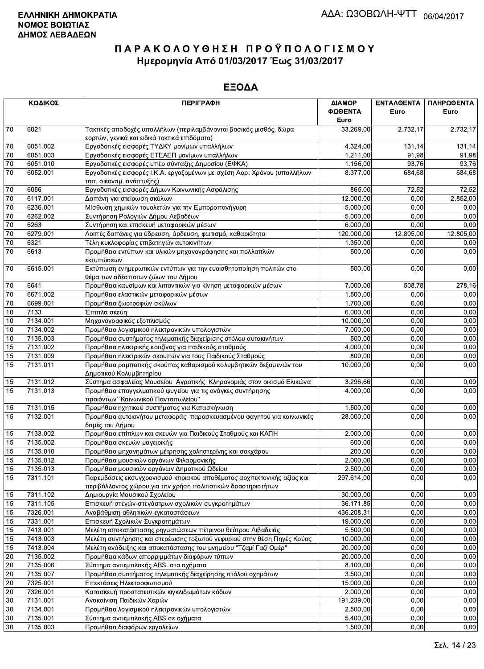|                 | ΚΩΔΙΚΟΣ  | <b>ПЕРІГРАФН</b>                                                         | ΔΙΑΜΟΡ     | <b>ENTAAOENTA</b> | ΠΛΗΡΩΘΕΝΤΑ |
|-----------------|----------|--------------------------------------------------------------------------|------------|-------------------|------------|
|                 |          | ΦΩΘΕΝΤΑ<br>Euro                                                          |            | Euro              | Euro       |
| 70              | 6021     | Τακτικές αποδοχές υπαλλήλων (περιλαμβάνονται βασικός μισθός, δώρα        | 33.269,00  | 2.732,17          | 2.732,17   |
|                 |          | εορτών, γενικά και ειδικά τακτικά επιδόματα)                             |            |                   |            |
| $70\,$          | 6051.002 | Εργοδοτικές εισφορές ΤΥΔΚΥ μονίμων υπαλλήλων                             | 4.324,00   | 131, 14           | 131,14     |
| $70\,$          | 6051.003 | Εργοδοτικές εισφορές ΕΤΕΑΕΠ μονίμων υπαλλήλων                            | 1.211,00   | 91.98             | 91,98      |
| $70\,$          | 6051.010 | Εργοδοτικές εισφορές υπέρ σύνταξης Δημοσίου (ΕΦΚΑ)                       | 1.156,00   | 93,76             | 93,76      |
| $\overline{70}$ | 6052.001 | Εργοδοτικές εισφορές Ι.Κ.Α. εργαζομένων με σχέση Αορ. Χρόνου (υπαλλήλων  | 8.377,00   | 684,68            | 684,68     |
|                 |          | τοπ. οικονομ. ανάπτυξης)                                                 |            |                   |            |
| 70              | 6056     | Εργοδοτικές εισφορές Δήμων Κοινωνικής Ασφάλισης                          | 865,00     | 72,52             | 72,52      |
| 70              | 6117.001 | Δαπάνη για στείρωση σκύλων                                               | 12.000,00  | 0,00              | 2.852,00   |
| 70              | 6236.001 | Μίσθωση χημικών τουαλετών για την Εμποροπανήγυρη                         | 5.000,00   | 0,00              | 0,00       |
| $70\,$          | 6262.002 | Συντήρηση Ρολογιών Δήμου Λεβαδέων                                        | 5.000,00   | 0.00              | 0,00       |
| $70\,$          | 6263     | Συντήρηση και επισκευή μεταφορικών μέσων                                 | 6.000,00   | 0,00              | 0,00       |
| $\overline{70}$ | 6279.001 | Λοιπές δαπάνες για ύδρευση, άρδευση, φωτισμό, καθαριότητα                | 120.000,00 | 12.805,00         | 12.805,00  |
| $\overline{70}$ | 6321     | Τέλη κυκλοφορίας επιβατηγών αυτοκινήτων                                  | 1.350,00   | 0,00              | 0,00       |
| $\overline{70}$ | 6613     | Προμήθεια εντύπων και υλικών μηχανογράφησης και πολλαπλών                | 500,00     | 0,00              | 0,00       |
|                 |          | εκτυπώσεων                                                               |            |                   |            |
| 70              | 6615.001 | Εκτύπωση ενημερωτικών εντύπων για την ευαισθητοποίηση πολιτών στο        | 500,00     | 0,00              | 0,00       |
|                 |          | θέμα των αδέσποτων ζώων του Δήμου                                        |            |                   |            |
| 70              | 6641     | Προμήθεια καυσίμων και λιπαντικών για κίνηση μεταφορικών μέσων           | 7.000,00   | 508,78            | 278,16     |
| $70\,$          | 6671.002 | Προμήθεια ελαστικών μεταφορικών μέσων                                    | 1.500,00   | 0.00              | 0,00       |
| $70\,$          | 6699.001 | Προμήθεια ζωοτροφών σκύλων                                               | 1.700,00   | 0,00              | 0,00       |
| 10              | 7133     | Έπιπλα σκεύη                                                             | 6.000,00   | 0,00              | 0,00       |
| $10$            | 7134.001 | Μηχανογραφικός εξοπλισμός                                                | 10.000,00  | 0,00              | 0,00       |
| 10              | 7134.002 | Προμήθεια λογισμικού ηλεκτρονικών υπολογιστών                            | 7.000,00   | 0,00              | 0,00       |
| 10              | 7135.003 | Προμήθεια συστήματος τηλεματικής διαχείρισης στόλου αυτοκινήτων          | 500,00     | 0,00              | 0,00       |
| 15              | 7131.002 | Προμήθεια ηλεκτρικής κουζίνας για παιδικούς σταθμούς                     | 4.000,00   | 0,00              | 0,00       |
| 15              | 7131.009 | Προμήθεια ηλεκτρικών σκουπών για τους Παιδικούς Σταθμούς                 | 800,00     | 0,00              | 0,00       |
| 15              | 7131.011 | Προμήθεια ρομποτικής σκούπας καθαρισμού κολυμβητικών δεξαμενών του       | 10.000,00  | 0,00              | 0,00       |
|                 |          | Δημοτικού Κολυμβητηρίου                                                  |            |                   |            |
| 15              | 7131.012 | Σύστημα ασφαλείας Μουσείου Αγροτικής Κληρονομιάς στον οικισμό Ελικώνα    | 3.296,66   | 0,00              | 0,00       |
| 15              | 7131.013 | Προμήθεια επαγγελματικού ψυγείου για τις ανάγκες συντήρησης              | 4.000,00   | 0,00              | 0,00       |
|                 |          | προιόντων "Κοινωνικού Παντοπωλείου"                                      |            |                   |            |
| 15              | 7131.015 | Προμήθεια ηχητικού συστήματος για Κατασκήνωση                            | 1.500,00   | 0.00              | 0,00       |
| 15              | 7132.001 | Προμήθεια αυτοκινήτου μεταφοράς παρασκευασμένου φαγητού για κοινωνικές   | 28.000,00  | 0.00              | 0,00       |
|                 |          | δομές του Δήμου                                                          |            |                   |            |
| 15              | 7133.002 | Προμήθεια επίπλων και σκευών για Παιδικούς Σταθμούς και ΚΑΠΗ             | 2.000,00   | 0.00              | 0,00       |
| 15              | 7135.002 | Προμήθεια σκευών μαγειρικής                                              | 600.00     | 0,00              | 0,00       |
| 15              | 7135.010 | Προμήθεια μηχανημάτων μέτρησης χοληστερίνης και σακχάρου                 | 200,00     | 0,00              | 0,00       |
| 15              | 7135.012 | Προμήθεια μουσικών οργάνων Φιλαρμονικής                                  | 2.000.00   | 0,00              | 0,00       |
| 15              | 7135.013 | Προμήθεια μουσικών οργάνων Δημοτικού Ωδείου                              | 2.500,00   | 0,00              | 0,00       |
| 15              | 7311.101 | Παρεμβάσεις εκσυγχρονισμού κτιριακού αποθέματος αρχιτεκτονικής αξίας και | 297.614,00 | 0,00              | 0,00       |
|                 |          | περιβάλλοντος χώρου για την χρήση πολιτιστικών δραστηριοτήτων            |            |                   |            |
| 15              | 7311.102 | Δημιουργία Μουσικού Σχολείου                                             | 30.000,00  | 0.00              | 0,00       |
| 15              | 7311.105 | Επισκευή στεγών-στεγάστρων σχολικών συγκροτημάτων                        | 36.171,85  | 0,00              | 0,00       |
| 15              | 7326.001 | Αναβάθμιση αθλητικών εγκαταστάσεων                                       | 436.208,31 | 0,00              | 0,00       |
| 15              | 7331.001 | Επισκευή Σχολικών Συγκροτημάτων                                          | 19.000,00  | 0,00              | 0,00       |
| 15              | 7413.001 | Μελέτη αποκατάστασης ρηγματώσεων πέτρινου θεάτρου Λιβαδειάς              | 5.500,00   | 0,00              | 0,00       |
| 15              | 7413.003 | Μελέτη συντήρησης και στερέωσης τοξωτού γεφυριού στην θέση Πηγές Κρύας   | 10.000,00  | 0,00              | 0,00       |
| 15              | 7413.004 | Μελέτη ανάδειξης και αποκατάστασης του μνημείου "Τζαμί Γαζί Ομέρ"        | 20.000,00  | 0,00              | 0,00       |
| 20              | 7135.002 | Προμήθεια κάδων απορριμμάτων διαφόρων τύπων                              | 20.000,00  | 0,00              | 0,00       |
| $20\,$          | 7135.006 | Σύστημα αντιεμπλοκής ABS στα οχήματα                                     | 8.100,00   | 0.00              | 0,00       |
| 20              | 7135.007 | Προμήθεια συστήματος τηλεματικής διαχείρησης στόλου οχημάτων             | 3.500,00   | 0,00              | 0,00       |
| 20              | 7325.001 | Επεκτάσεις Ηλεκτροφωτισμού                                               | 15.000,00  | 0,00              | 0,00       |
| $20\,$          | 7326.001 | Κατασκευή προστατευτικών κιγκλιδωμάτων κάδων                             | 2.000,00   | 0,00              | 0,00       |
| 30              | 7131.001 | Ανακαίνιση Παιδικών Χαρών                                                | 191.239,00 | 0,00              | 0,00       |
| 30              | 7134.001 | Προμήθεια λογισμικού ηλεκτρονικών υπολογιστών                            | 2.500,00   | 0,00              | 0,00       |
| 30              | 7135.001 | Σύστημα αντιεμπλοκής ABS σε οχήματα                                      | 5.400,00   | 0,00              | 0,00       |
| 30              | 7135.003 | Προμήθεια διαφόρων εργαλείων                                             | 1.500,00   | 0,00              | 0,00       |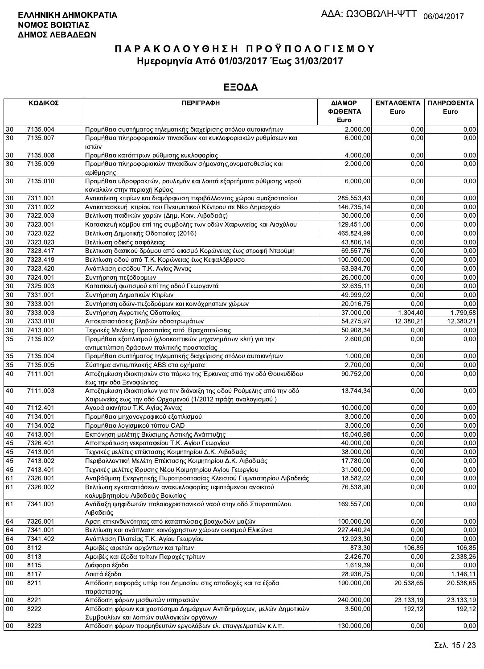|                 | ΚΩΔΙΚΟΣ              | <b>ПЕРІГРАФН</b>                                                                                                                     | ΔΙΑΜΟΡ<br>ΦΩΘΕΝΤΑ<br>Euro | <b>ENTAAOENTA</b><br>Euro | ΠΛΗΡΩΘΕΝΤΑ<br>Euro |
|-----------------|----------------------|--------------------------------------------------------------------------------------------------------------------------------------|---------------------------|---------------------------|--------------------|
| 30              | 7135.004             | Προμήθεια συστήματος τηλεματικής διαχείρισης στόλου αυτοκινήτων                                                                      | 2.000,00                  | 0,00                      | 0,00               |
| 30              | 7135.007             | Προμήθεια πληροφοριακών πινακίδων και κυκλοφοριακών ρυθμίσεων και<br>ιστών                                                           | 6.000,00                  | 0.00                      | 0,00               |
| 30              | 7135.008             | Προμήθεια κατόπτρων ρύθμισης κυκλοφορίας                                                                                             | 4.000,00                  | 0,00                      | 0,00               |
| 30              | 7135.009             | Προμήθεια πληροφοριακών πινακίδων σήμανσης, ονοματοθεσίας και                                                                        | 2.000,00                  | 0.00                      | 0,00               |
| 30              | 7135.010             | αρίθμησης<br>Προμήθεια υδροφρακτών, ρουλεμάν και λοιπά εξαρτήματα ρύθμισης νερού                                                     | 6.000,00                  | 0,00                      | 0,00               |
|                 | 7311.001             | καναλιών στην περιοχή Κρύας                                                                                                          |                           | 0,00                      |                    |
| 30              | 7311.002             | Ανακαίνιση κτιρίων και διαμόρφωση περιβάλλοντος χώρου αμαξοστασίου                                                                   | 285.553,43                | 0,00                      | 0,00               |
| 30              |                      | Ανακατασκευή κτιρίου του Πνευματικού Κέντρου σε Νέο Δημαρχείο                                                                        | 146.735,14                | 0,00                      | 0,00<br>0,00       |
| 30<br>$30\,$    | 7322.003             | Βελτίωση παιδικών χαρών (Δημ. Κοιν. Λιβαδειάς)                                                                                       | 30.000,00                 | 0,00                      |                    |
| 30              | 7323.001<br>7323.022 | Κατασκευή κόμβου επί της συμβολής των οδών Χαιρωνείας και Αισχύλου                                                                   | 129.451,00<br>465.824,99  | 0,00                      | 0,00<br>0,00       |
|                 |                      | Βελτίωση Δημοτικής Οδοποιίας (2016)                                                                                                  |                           | 0,00                      |                    |
| 30              | 7323.023             | Βελτίωση οδικής ασφάλειας                                                                                                            | 43.806,14                 | 0,00                      | 0,00               |
| $30\,$<br>30    | 7323.417<br>7323.419 | Βελτιωση δασικού δρόμου από οικισμό Κορώνειας έως στροφή Νταούμη                                                                     | 69.557,76                 |                           | 0,00               |
|                 |                      | Βελτίωση οδού από Τ.Κ. Κορώνειας έως Κεφαλόβρυσο                                                                                     | 100.000,00<br>63.934,70   | 0,00<br>0,00              | 0,00               |
| 30              | 7323.420             | Ανάπλαση εισόδου Τ.Κ. Αγίας Άννας                                                                                                    |                           |                           | 0,00               |
| 30              | 7324.001             | Συντήρηση πεζόδρομων                                                                                                                 | 26.000,00                 | 0,00                      | 0,00               |
| $30\,$          | 7325.003             | Κατασκευή φωτισμού επί της οδού Γεωργαντά                                                                                            | 32.635,11                 | 0,00                      | 0,00               |
| 30              | 7331.001             | Συντήρηση Δημοτικών Κτιρίων                                                                                                          | 49.999,02                 | 0,00                      | 0,00               |
| $30\,$          | 7333.001             | Συντήρηση οδών-πεζοδρόμων και κοινόχρηστων χώρων                                                                                     | 20.016,75                 | 0,00                      | 0,00               |
| $30\,$          | 7333.003             | Συντήρηση Αγροτικής Οδοποιίας                                                                                                        | 37.000,00                 | 1.304,40                  | 1.790,58           |
| $\overline{30}$ | 7333.010             | Αποκαταστάσεις βλαβών οδοστρωμάτων                                                                                                   | 54.275,97                 | 12.380,21                 | 12.380,21          |
| 30              | 7413.001             | Τεχνικές Μελέτες Προστασίας από Βραχοπτώσεις                                                                                         | 50.908,34                 | 0,00                      | 0,00               |
| 35              | 7135.002             | Προμήθεια εξοπλισμού (χλοοκοπτικών μηχανημάτων κλπ) για την                                                                          | 2.600,00                  | 0,00                      | 0,00               |
|                 |                      | αντιμετώπιση δράσεων πολιτικής προστασίας                                                                                            |                           |                           |                    |
| 35              | 7135.004             | Προμήθεια συστήματος τηλεματικής διαχείρισης στόλου αυτοκινήτων                                                                      | 1.000,00                  | 0,00                      | 0,00               |
| 35              | 7135.005             | Σύστημα αντιεμπλοκής ABS στα οχήματα                                                                                                 | 2.700,00                  | 0,00                      | 0,00               |
| 40              | 7111.001             | Αποζημίωση ιδιοκτησιών στο πάρκο της Έρκυνας από την οδό Θουκυδίδου<br>έως την οδο Ξενοφώντος                                        | 90.752,00                 | 0,00                      | 0,00               |
| 40              | 7111.003             | Αποζημίωση ιδιοκτησίων για την διάνοιξη της οδού Ρούμελης από την οδό<br>Χαιρωνείας εως την οδό Ορχομενού (1/2012 πράξη αναλογισμού) | 13.744,34                 | 0,00                      | 0,00               |
| 40              | 7112.401             | Αγορά ακινήτου Τ.Κ. Αγίας Άννας                                                                                                      | 10.000,00                 | 0.00                      | 0,00               |
| 40              | 7134.001             | Προμήθεια μηχανογραφικού εξοπλισμού                                                                                                  | 3.000,00                  | 0.00                      | 0,00               |
| 40              | 7134.002             | Προμήθεια λογισμικού τύπου CAD                                                                                                       | 3.000,00                  | 0,00                      | 0,00               |
| 40              | 7413.001             | Εκπόνηση μελέτης Βιώσιμης Αστικής Ανάπτυξης                                                                                          | 15.040,98                 | 0,00                      | 0,00               |
| 45              | 7326.401             | Αποπεράτωση νεκροταφείου Τ.Κ. Αγίου Γεωργίου                                                                                         | 40.000,00                 | 0,00                      | 0,00               |
| 45              | 7413.001             | Τεχνικές μελέτες επέκτασης Κοιμητηρίου Δ.Κ. Λιβαδειάς                                                                                | 38.000,00                 | 0,00                      | 0,00               |
| 45              | 7413.002             | Περιβαλλοντική Μελέτη Επέκτασης Κοιμητηρίου Δ.Κ. Λιβαδειάς                                                                           | 17.780,00                 | 0,00                      | 0,00               |
| 45              | 7413.401             | Τεχνικές μελέτες ίδρυσης Νέου Κοιμητηρίου Αγίου Γεωργίου                                                                             | 31.000,00                 | 0,00                      | 0,00               |
| 61              | 7326.001             | Αναβάθμιση Ενεργητικής Πυροπροστασίας Κλειστού Γυμναστηρίου Λιβαδειάς                                                                | 18.582,02                 | 0,00                      | 0,00               |
| 61              | 7326.002             | Βελτίωση εγκαταστάσεων ανακυκλοφορίας υφιστάμενου ανοικτού<br>κολυμβητηρίου Λιβαδειάς Βοιωτίας                                       | 76.538,90                 | 0,00                      | 0,00               |
| 61              | 7341.001             | Ανάδειξη ψηφιδωτών παλαιοχριστιανικού ναού στην οδό Σπυροπούλου<br>Λιβαδειάς                                                         | 169.557,00                | 0,00                      | 0,00               |
| 64              | 7326.001             | Αρση επικινδυνότητας από καταπτώσεις βραχωδών μαζών                                                                                  | 100.000,00                | 0,00                      | 0,00               |
| 64              | 7341.001             | Βελτίωση και ανάπλαση κοινόχρηστων χώρων οικισμού Ελικώνα                                                                            | 227.440,24                | 0,00                      | 0,00               |
| 64              | 7341.402             | Ανάπλαση Πλατείας Τ.Κ. Αγίου Γεωργίου                                                                                                | 12.923,30                 | 0.00                      | 0,00               |
| 00              | 8112                 | Αμοιβές αιρετών αρχόντων και τρίτων                                                                                                  | 873,30                    | 106,85                    | 106,85             |
| 00              | 8113                 | Αμοιβές και έξοδα τρίτων Παροχές τρίτων                                                                                              | 2.426,70                  | 0,00                      | 2.338,26           |
| $00\,$          | 8115                 | Διάφορα έξοδα                                                                                                                        | 1.619,39                  | 0,00                      | 0,00               |
| 00              | 8117                 | Λοιπά έξοδα                                                                                                                          | 28.936,75                 | 0,00                      | 1.146,11           |
| 00              | 8211                 | Απόδοση εισφοράς υπέρ του Δημοσίου στις αποδοχές και τα έξοδα<br>παράστασης                                                          | 190.000,00                | 20.538,65                 | 20.538,65          |
| 00              | 8221                 | Απόδοση φόρων μισθωτών υπηρεσιών                                                                                                     | 240.000,00                | 23.133,19                 | 23.133,19          |
| 00              | 8222                 | Απόδοση φόρων και χαρτόσημο Δημάρχων Αντιδημάρχων, μελών Δημοτικών                                                                   | 3.500,00                  | 192,12                    | 192,12             |
|                 |                      | Συμβουλίων και λοιπών συλλογικών οργάνων                                                                                             |                           |                           |                    |
| 00              | 8223                 | Απόδοση φόρων προμηθευτών εργολάβων ελ. επαγγελματιών κ.λ.π.                                                                         | 130.000,00                | 0,00                      | 0,00               |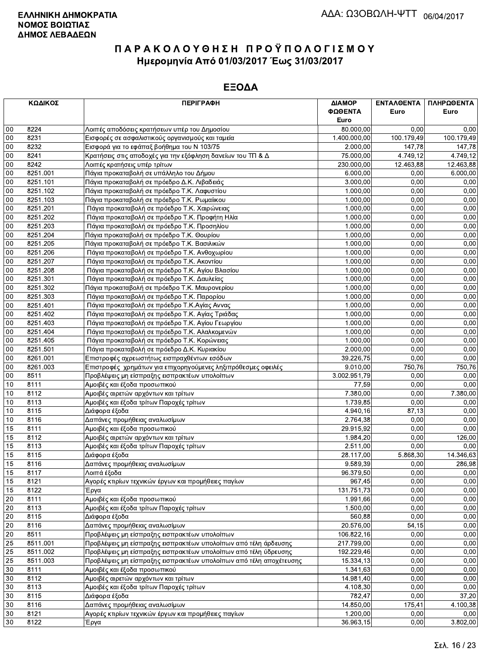|                 | ΚΩΔΙΚΟΣ      | <b>ПЕРІГРАФН</b>                                                   | ΔΙΑΜΟΡ<br>ΦΩΘΕΝΤΑ<br>Euro | ΕΝΤΑΛΘΕΝΤΑ<br>Euro | ΠΛΗΡΩΘΕΝΤΑ<br>Euro |
|-----------------|--------------|--------------------------------------------------------------------|---------------------------|--------------------|--------------------|
| 00              | 8224         | Λοιπές αποδόσεις κρατήσεων υπέρ του Δημοσίου                       | 80.000,00                 | 0.00               | 0,00               |
| 00              | 8231         | Εισφορές σε ασφαλιστικούς οργανισμούς και ταμεία                   | 1.400.000,00              | 100.179,49         | 100.179,49         |
| 00              | 8232         | Εισφορά για το εφάπαξ βοήθημα του Ν 103/75                         | 2.000,00                  | 147,78             | 147,78             |
| 00              | 8241         | Κρατήσεις στις αποδοχές για την εξόφληση δανείων του ΤΠ & Δ        | 75.000,00                 | 4.749,12           | 4.749,12           |
| 00              | 8242         | Λοιπές κρατήσεις υπέρ τρίτων                                       | 230.000,00                | 12.463,88          | 12.463,88          |
| 00              | 8251.001     | Πάγια προκαταβολή σε υπάλληλο του Δήμου                            | 6.000,00                  | 0,00               | 6.000,00           |
| 00              | 8251.101     | Πάγια προκαταβολή σε πρόεδρο Δ.Κ. Λιβαδειάς                        | 3.000,00                  | 0,00               | 0,00               |
| 00              | 8251.102     | Πάγια προκαταβολή σε πρόεδρο Τ.Κ. Λαφυστίου                        | 1.000,00                  | 0,00               | 0,00               |
| $00\,$          | 8251.103     | Πάγια προκαταβολή σε πρόεδρο Τ.Κ. Ρωμαίικου                        | 1.000,00                  | 0,00               | 0,00               |
| 00              | 8251.201     | Πάγια προκαταβολή σε πρόεδρο Τ.Κ. Χαιρώνειας                       | 1.000,00                  | 0,00               | 0,00               |
| 00              | 8251.202     | Πάγια προκαταβολή σε πρόεδρο Τ.Κ. Προφήτη Ηλία                     | 1.000,00                  | 0,00               | 0,00               |
| 00              | 8251.203     | Πάγια προκαταβολή σε πρόεδρο Τ.Κ. Προσηλίου                        | 1.000,00                  | 0,00               | 0,00               |
| 00              | 8251.204     | Πάγια προκαταβολή σε πρόεδρο Τ.Κ. Θουρίου                          | 1.000,00                  | 0,00               | 0,00               |
| $00\,$          | 8251.205     | Πάγια προκαταβολή σε πρόεδρο Τ.Κ. Βασιλικών                        | 1.000,00                  | 0,00               | 0,00               |
| 00              | 8251.206     | Πάγια προκαταβολή σε πρόεδρο Τ.Κ. Ανθοχωρίου                       | 1.000,00                  | 0,00               | 0,00               |
| 00              | 8251.207     | Πάγια προκαταβολή σε πρόεδρο Τ.Κ. Ακοντίου                         | 1.000,00                  | 0,00               | 0,00               |
| 00              | 8251.208     | Πάγια προκαταβολή σε πρόεδρο Τ.Κ. Αγίου Βλασίου                    | 1.000,00                  | 0,00               | 0,00               |
| 00              | 8251.301     | Πάγια προκαταβολή σε πρόεδρο Τ.Κ. Δαυλείας                         | 1.000.00                  | 0,00               | 0,00               |
| 00              | 8251.302     | Πάγια προκαταβολή σε πρόεδρο Τ.Κ. Μαυρονερίου                      | 1.000,00                  | 0,00               | 0,00               |
| 00              | 8251.303     | Πάγια προκαταβολή σε πρόεδρο Τ.Κ. Παρορίου                         | 1.000,00                  | 0,00               | 0,00               |
| 00              | 8251.401     | Πάγια προκαταβολή σε πρόεδρο Τ.Κ.Αγίας Αννας                       | 1.000,00                  | 0,00               | 0,00               |
| 00              | 8251.402     | Πάγια προκαταβολή σε πρόεδρο Τ.Κ. Αγίας Τριάδας                    | 1.000,00                  | 0,00               | 0,00               |
| 00              | 8251.403     | Πάγια προκαταβολή σε πρόεδρο Τ.Κ. Αγίου Γεωργίου                   | 1.000,00                  | 0,00               | 0,00               |
| $00\,$          | 8251.404     | Πάγια προκαταβολή σε πρόεδρο Τ.Κ. Αλαλκομενών                      | 1.000,00                  | 0,00               | 0,00               |
| 00              | 8251.405     | Πάγια προκαταβολή σε πρόεδρο Τ.Κ. Κορώνειας                        | 1.000,00                  | 0,00               | 0,00               |
| 00              | 8251.501     | Πάγια προκαταβολή σε πρόεδρο Δ.Κ. Κυριακίου                        | 2.000,00                  | 0,00               | 0,00               |
| 00              | 8261.001     | Επιστροφές αχρεωστήτως εισπραχθέντων εσόδων                        | 39.226,75                 | 0,00               | 0,00               |
| $00\,$          | 8261.003     | Επιστροφές χρημάτων για επιχορηγούμενες ληξιπρόθεσμες οφειλές      | 9.010,00                  | 750,76             | 750,76             |
| $00\,$          | 8511         | Προβλέψεις μη είσπραξης εισπρακτέων υπολοίπων                      | 3.002.951,79              | 0,00               | 0,00               |
| 10              | 8111         | Αμοιβές και έξοδα προσωπικού                                       | 77,59                     | 0,00               | 0,00               |
| 10              | 8112         | Αμοιβές αιρετών αρχόντων και τρίτων                                | 7.380,00                  | 0,00               | 7.380,00           |
| 10              | 8113         | Αμοιβές και έξοδα τρίτων Παροχές τρίτων                            | 1.739,85                  | 0,00               | 0,00               |
| 10              | 8115         | Διάφορα έξοδα                                                      | 4.940,16                  | 87,13              | 0,00               |
| 10              | 8116         | Δαπάνες προμήθειας αναλωσίμων                                      | 2.764,38                  | 0,00               | 0,00               |
| 15              | 8111         | Αμοιβές και έξοδα προσωπικού                                       | 29.915,92                 | 0,00               | 0,00               |
| 15              | 8112         | Αμοιβές αιρετών αρχόντων και τρίτων                                | 1.984,20                  | 0,00               | 126,00             |
| 15              | 8113         | Αμοιβές και έξοδα τρίτων Παροχές τρίτων                            | 2.511,00                  | 0,00               | 0,00               |
| 15              | 8115         | Διάφορα έξοδα                                                      | 28.117,00                 | 5.868,30           | 14.346,63          |
| 15              | 8116         | Δαπάνες προμήθειας αναλωσίμων                                      | 9.589,39                  | 0,00               | 286,98             |
| 15<br>15        | 8117<br>8121 | Λοιπά έξοδα<br>Αγορές κτιρίων τεχνικών έργων και προμήθειες παγίων | 96.379,50<br>967,45       | 0,00<br>0,00       | 0,00<br>0,00       |
| 15              | 8122         | Έργα                                                               | 131.751,73                | 0,00               | 0,00               |
| 20              | 8111         | Αμοιβές και έξοδα προσωπικού                                       | 1.991,66                  | 0,00               | 0,00               |
| 20              | 8113         | Αμοιβές και έξοδα τρίτων Παροχές τρίτων                            | 1.500,00                  | 0,00               | 0,00               |
| 20              | 8115         | Διάφορα έξοδα                                                      | 560,88                    | 0,00               | 0,00               |
| 20              | 8116         | Δαπάνες προμήθειας αναλωσίμων                                      | 20.576,00                 | 54,15              | 0,00               |
| 20              | 8511         | Προβλέψεις μη είσπραξης εισπρακτέων υπολοίπων                      | 106.822,16                | 0,00               | 0,00               |
| 25              | 8511.001     | Προβλέψεις μη είσπραξης εισπρακτέων υπολοίπων από τέλη άρδευσης    | 217.799,00                | 0,00               | 0,00               |
| 25              | 8511.002     | Προβλέψεις μη είσπραξης εισπρακτέων υπολοίπων από τέλη ύδρευσης    | 192.229,46                | 0,00               | 0,00               |
| $\overline{25}$ | 8511.003     | Προβλέψεις μη είσπραξης εισπρακτέων υπολοίπων από τέλη αποχέτευσης | 15.334,13                 | 0,00               | 0,00               |
| 30              | 8111         | Αμοιβές και έξοδα προσωπικού                                       | 1.341,63                  | 0,00               | 0,00               |
| 30              | 8112         | Αμοιβές αιρετών αρχόντων και τρίτων                                | 14.981,40                 | 0,00               | 0,00               |
| 30              | 8113         | Αμοιβές και έξοδα τρίτων Παροχές τρίτων                            | 4.108,30                  | 0,00               | 0,00               |
| 30              | 8115         | Διάφορα έξοδα                                                      | 782,47                    | 0,00               | 37,20              |
| 30              | 8116         | Δαπάνες προμήθειας αναλωσίμων                                      | 14.850,00                 | 175,41             | 4.100,38           |
| 30              | 8121         | Αγορές κτιρίων τεχνικών έργων και προμήθειες παγίων                | 1.200,00                  | 0,00               | 0,00               |
| 30              | 8122         | Έργα                                                               | 36.963,15                 | 0,00               | 3.802,00           |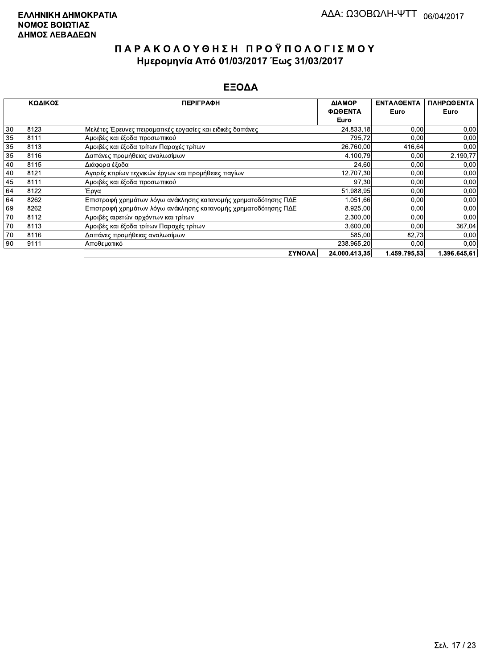|    | ΚΩΔΙΚΟΣ | <b>ПЕРІГРАФН</b><br>ΔΙΑΜΟΡ                                     |               | <b>ENTAAOENTA</b> | ΠΛΗΡΩΘΕΝΤΑ   |
|----|---------|----------------------------------------------------------------|---------------|-------------------|--------------|
|    |         |                                                                | ΦΩΘΕΝΤΑ       | Euro              | Euro         |
|    |         |                                                                | Euro          |                   |              |
| 30 | 8123    | Μελέτες Έρευνες πειραματικές εργασίες και ειδικές δαπάνες      | 24.833,18     | 0,00              | 0,00         |
| 35 | 8111    | Αμοιβές και έξοδα προσωπικού                                   | 795,72        | 0,00              | 0,00         |
| 35 | 8113    | Αμοιβές και έξοδα τρίτων Παροχές τρίτων                        | 26.760,00     | 416,64            | 0,00         |
| 35 | 8116    | Δαπάνες προμήθειας αναλωσίμων                                  | 4.100,79      | 0,00              | 2.190,77     |
| 40 | 8115    | Διάφορα έξοδα                                                  | 24,60         | 0,00              | 0,00         |
| 40 | 8121    | Αγορές κτιρίων τεχνικών έργων και προμήθειες παγίων            | 12.707,30     | 0,00              | 0,00         |
| 45 | 8111    | Αμοιβές και έξοδα προσωπικού                                   | 97,30         | 0,00              | 0,00         |
| 64 | 8122    | Έργα                                                           | 51.988,95     | 0,00              | 0,00         |
| 64 | 8262    | Επιστροφή χρημάτων λόγω ανάκλησης κατανομής χρηματοδότησης ΠΔΕ | 1.051,66      | 0,00              | 0,00         |
| 69 | 8262    | Επιστροφή χρημάτων λόγω ανάκλησης κατανομής χρηματοδότησης ΠΔΕ | 8.925,00      | 0.00              | 0,00         |
| 70 | 8112    | Αμοιβές αιρετών αρχόντων και τρίτων                            | 2.300,00      | 0,00              | 0,00         |
| 70 | 8113    | Αμοιβές και έξοδα τρίτων Παροχές τρίτων                        | 3.600,00      | 0,00              | 367,04       |
| 70 | 8116    | Δαπάνες προμήθειας αναλωσίμων                                  | 585,00        | 82,73             | 0,00         |
| 90 | 9111    | Αποθεματικό                                                    | 238.965,20    | 0,00              | 0,00         |
|    |         | ΣΥΝΟΛΑ                                                         | 24.000.413,35 | 1.459.795.53      | 1.396.645,61 |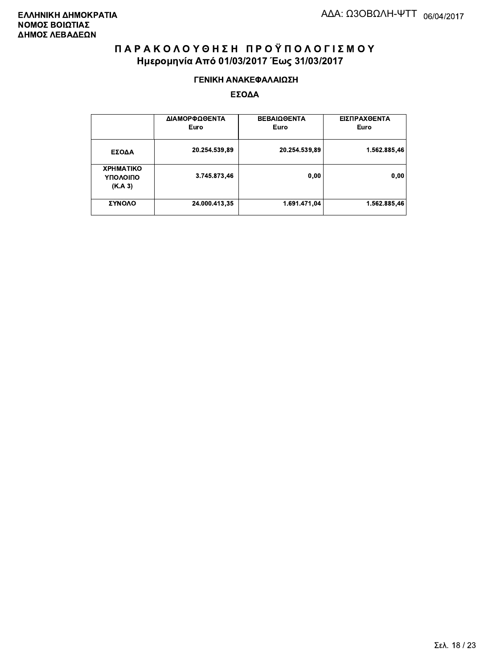#### ΓΕΝΙΚΗ ΑΝΑΚΕΦΑΛΑΙΩΣΗ

|                                         | ΔΙΑΜΟΡΦΩΘΕΝΤΑ<br>Euro | <b>ΒΕΒΑΙΩΘΕΝΤΑ</b><br>Euro | ΕΙΣΠΡΑΧΘΕΝΤΑ<br>Euro |
|-----------------------------------------|-----------------------|----------------------------|----------------------|
| ΕΣΟΔΑ                                   | 20.254.539,89         | 20.254.539,89              | 1.562.885,46         |
| <b>XPHMATIKO</b><br>ΥΠΟΛΟΙΠΟ<br>(K.A.3) | 3.745.873,46          | 0,00                       | 0,00                 |
| ΣΥΝΟΛΟ                                  | 24.000.413,35         | 1.691.471,04               | 1.562.885,46         |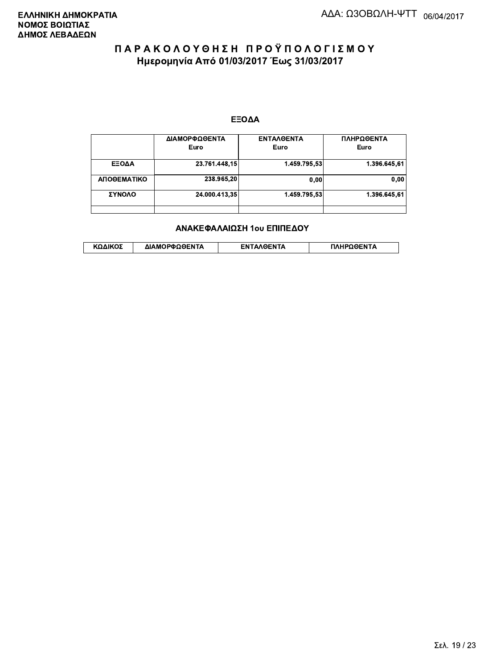#### ΕΞΟΔΑ

|             | ΔΙΑΜΟΡΦΩΘΕΝΤΑ<br>Euro | <b>ENTAAGENTA</b><br>Euro | ΠΛΗΡΩΘΕΝΤΑ<br>Euro |
|-------------|-----------------------|---------------------------|--------------------|
| ΕΞΟΔΑ       | 23.761.448,15         | 1.459.795.53              | 1.396.645.61       |
| ΑΠΟΘΕΜΑΤΙΚΟ | 238.965.20            | 0.00                      | 0,00               |
| ΣΥΝΟΛΟ      | 24.000.413,35         | 1.459.795.53              | 1.396.645,61       |
|             |                       |                           |                    |

#### ΑΝΑΚΕΦΑΛΑΙΩΣΗ 1ου ΕΠΙΠΕΔΟΥ

|  | ΚΩΔΙΚΟΣ | ΔΙΑΜΟΡΦΩΘΕΝΤΑ | <b>AOENTA</b><br>FΝ | ≀OΘFNTA |
|--|---------|---------------|---------------------|---------|
|--|---------|---------------|---------------------|---------|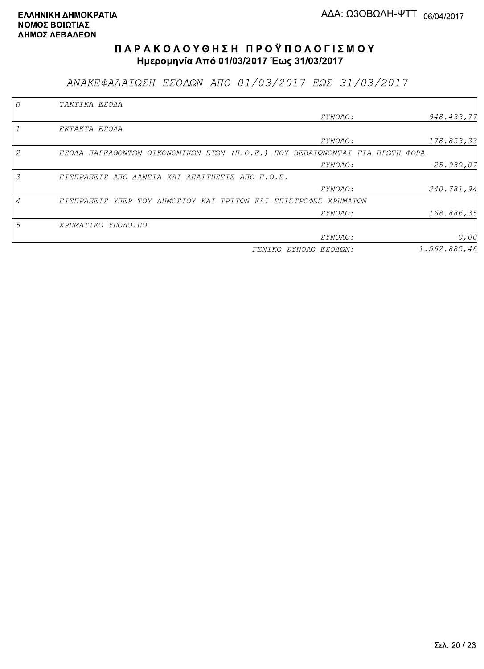ΑΝΑΚΕΦΑΛΑΙΩΣΗ ΕΣΟΔΩΝ ΑΠΟ 01/03/2017 ΕΩΣ 31/03/2017

|   | TAKTIKA EZOAA                                                               |                       |              |
|---|-----------------------------------------------------------------------------|-----------------------|--------------|
|   |                                                                             | <i>EYNOAO:</i>        | 948.433,77   |
|   | EKTAKTA EZOAA                                                               |                       |              |
|   |                                                                             | <i>EYNOAO:</i>        | 178.853,33   |
|   | EZOAA NAPEA@ONTΩN OIKONOMIKΩN ETΩN (N.O.E.) NOY BEBAIΩNONTAI ΓΙΑ ΠΡΩΤΗ ΦΟΡΑ |                       |              |
|   |                                                                             | <i>EYNOAO:</i>        | 25.930,07    |
| 3 | ΕΙΣΠΡΑΞΕΙΣ ΑΠΌ ΔΑΝΕΙΑ ΚΑΙ ΑΠΑΙΤΗΣΕΙΣ ΑΠΌ Π.Ο.Ε.                             |                       |              |
|   |                                                                             | <i>EYNOAO:</i>        | 240.781,94   |
|   | ΕΙΣΠΡΑΞΕΙΣ ΥΠΕΡ ΤΟΥ ΔΗΜΟΣΙΟΥ ΚΑΙ ΤΡΙΤΩΝ ΚΑΙ ΕΠΙΣΤΡΟΦΕΣ ΧΡΗΜΑΤΩΝ             |                       |              |
|   |                                                                             | <i>EYNOAO:</i>        | 168.886,35   |
| 5 | ΧΡΗΜΑΤΙΚΟ ΥΠΟΛΟΙΠΟ                                                          |                       |              |
|   |                                                                             | ΣΥΝΟΛΟ:               | 0,00         |
|   |                                                                             | ΓΕΝΙΚΟ ΣΥΝΟΛΟ ΕΣΟΔΩΝ: | 1.562.885,46 |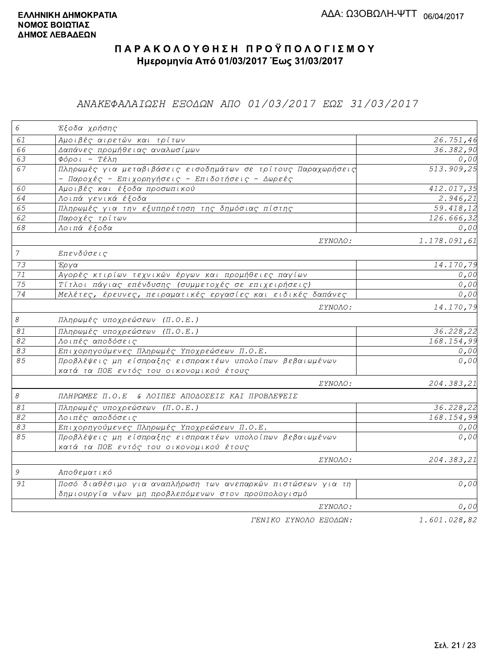### ΑΝΑΚΕΦΑΛΑΙΩΣΗ ΕΞΟΔΩΝ ΑΠΟ 01/03/2017 ΕΩΣ 31/03/2017

| 6                         | Έξοδα χρήσης                                                  |              |
|---------------------------|---------------------------------------------------------------|--------------|
| 61                        | Αμοιβές αιρετών και τρίτων                                    | 26.751,46    |
| 66                        | Δαπάνες προμήθειας αναλωσίμων                                 | 36.382,90    |
| 63                        | Φόροι - Τέλη                                                  | 0,00         |
| 67                        | Πληρωμές για μεταβιβάσεις εισοδημάτων σε τρίτους Παραχωρήσεις | 513.909,25   |
|                           | - Παροχές - Επιχορηγήσεις - Επιδοτήσεις - Δωρεές              |              |
| 60                        | Αμοιβές και έξοδα προσωπικού                                  | 412.017,35   |
| 64                        | Λοιπά γενικά έξοδα                                            | 2.946, 21    |
| 65                        | Πληρωμές για την εξυπηρέτηση της δημόσιας πίστης              | 59.418,12    |
| 62                        | Παροχές τρίτων                                                | 126.666,32   |
| 68                        | Λοιπά έξοδα                                                   | 0,00         |
|                           | ΣΥΝΟΛΟ:                                                       | 1.178.091,61 |
| $\overline{7}$            | Επενδύσεις                                                    |              |
| 73                        | Έργα                                                          | 14.170,79    |
| 71                        | Αγορές κτιρίων τεχνικών έργων και προμήθειες παγίων           | 0,00         |
| $\overline{75}$           | Τίτλοι πάγιας επένδυσης (συμμετοχές σε επιχειρήσεις)          | 0,00         |
| $\overline{74}$           | Μελέτες, έρευνες, πειραματικές εργασίες και ειδικές δαπάνες   | 0,00         |
|                           | ΣΥΝΟΛΟ:                                                       | 14.170,79    |
| $\mathcal S$              | Πληρωμές υποχρεώσεων (Π.Ο.Ε.)                                 |              |
| $\mathcal{S} \mathcal{I}$ | Πληρωμές υποχρεώσεων (Π.Ο.Ε.)                                 | 36.228,22    |
| $\overline{82}$           | Λοιπές αποδόσεις                                              | 168.154,99   |
| 83                        | Επιχορηγούμενες Πληρωμές Υποχρεώσεων Π.Ο.Ε.                   | 0,00         |
| 85                        | Προβλέψεις μη είσπραξης εισπρακτέων υπολοίπων βεβαιωμένων     | 0,00         |
|                           | κατά τα ΠΟΕ εντός του οικονομικού έτους                       |              |
|                           | ΣΥΝΟΛΟ:                                                       | 204.383,21   |
| $\mathcal S$              | ΠΛΗΡΩΜΕΣ Π.Ο.Ε & ΛΟΙΠΕΣ ΑΠΟΔΟΣΕΙΣ ΚΑΙ ΠΡΟΒΛΕΨΕΙΣ              |              |
| $\mathcal{S} \mathcal{I}$ | Πληρωμές υποχρεώσεων (Π.Ο.Ε.)                                 | 36.228,22    |
| 82                        | Λοιπές αποδόσεις                                              | 168.154,99   |
| $\overline{83}$           | Επιχορηγούμενες Πληρωμές Υποχρεώσεων Π.Ο.Ε.                   | 0,00         |
| 85                        | Προβλέψεις μη είσπραξης εισπρακτέων υπολοίπων βεβαιωμένων     | 0,00         |
|                           | κατά τα ΠΟΕ εντός του οικονομικού έτους                       |              |
|                           | <i>EYNOAO:</i>                                                | 204.383,21   |
| 9                         | Αποθεματικό                                                   |              |
| 91                        | Ποσό διαθέσιμο για αναπλήρωση των ανεπαρκών πιστώσεων για τη  | 0,00         |
|                           | δημιουργία νέων μη προβλεπόμενων στον προϋπολογισμό           |              |
|                           | ΣΥΝΟΛΟ:                                                       | 0,00         |
|                           | TENIKO ZYNOAO EEOAQN:                                         | 1.601.028,82 |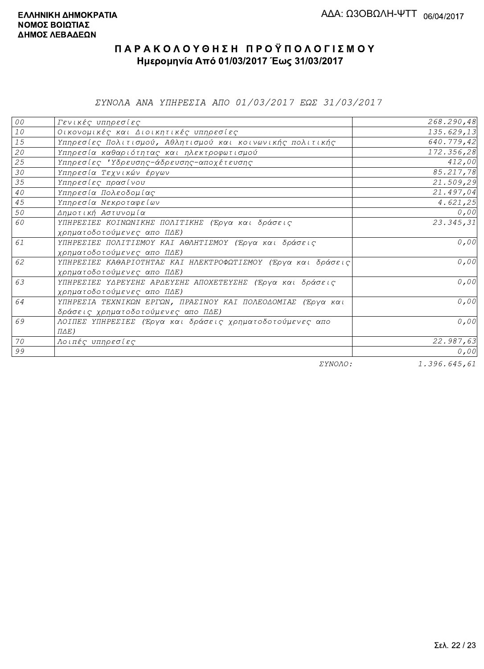ΣΥΝΟΛΑ ΑΝΑ ΥΠΗΡΕΣΙΑ ΑΠΟ 01/03/2017 ΕΩΣ 31/03/2017

| 00              | Γενικές υπηρεσίες                                             | 268.290,48             |
|-----------------|---------------------------------------------------------------|------------------------|
| $1\,0$          | Οικονομικές και Διοικητικές υπηρεσίες                         | 135.629,13             |
| 15              | Υπηρεσίες Πολιτισμού, Αθλητισμού και κοινωνικής πολιτικής     | 640.779,42             |
| 20              | Υπηρεσία καθαριότητας και ηλεκτροφωτισμού                     | 172.356,28             |
| 25              | Υπηρεσίες 'Υδρευσης-άδρευσης-αποχέτευσης                      | 412,00                 |
| 30              | Υπηρεσία Τεχνικών έργων                                       | 85.217,78              |
| 35              | Υπηρεσίες πρασίνου                                            | 21.509,29              |
| 40 <sub>o</sub> | Υπηρεσία Πολεοδομίας                                          | 21.497,04              |
| 45              | Υπηρεσία Νεκροταφείων                                         | 4.621, 25              |
| 50              | Δημοτική Αστυνομία                                            | 0,00                   |
| 60              | ΥΠΗΡΕΣΙΕΣ ΚΟΙΝΩΝΙΚΗΣ ΠΟΛΙΤΙΚΗΣ (Έργα και δράσεις              | $\overline{23.345,31}$ |
|                 | χρηματοδοτούμενες απο ΠΔΕ)                                    |                        |
| 61              | ΥΠΗΡΕΣΙΕΣ ΠΟΛΙΤΙΣΜΟΥ ΚΑΙ ΑΘΛΗΤΙΣΜΟΥ (Έργα και δράσεις         | 0,00                   |
|                 | χρηματοδοτούμενες απο ΠΔΕ)                                    |                        |
| 62              | ΥΠΗΡΕΣΙΕΣ ΚΑΘΑΡΙΟΤΗΤΑΣ ΚΑΙ ΗΛΕΚΤΡΟΦΩΤΙΣΜΟΥ (Έργα και δράσεις) | 0,00                   |
|                 | χρηματοδοτούμενες απο ΠΔΕ)                                    |                        |
| 63              | ΥΠΗΡΕΣΙΕΣ ΥΔΡΕΥΣΗΣ ΑΡΔΕΥΣΗΣ ΑΠΟΧΕΤΕΥΣΗΣ (Έργα και δράσεις     | 0,00                   |
|                 | χρηματοδοτούμενες απο ΠΔΕ)                                    |                        |
| 64              | ΥΠΗΡΕΣΙΑ ΤΕΧΝΙΚΩΝ ΕΡΓΩΝ, ΠΡΑΣΙΝΟΥ ΚΑΙ ΠΟΛΕΟΔΟΜΙΑΣ (Έργα και   | 0,00                   |
|                 | δράσεις χρηματοδοτούμενες απο ΠΔΕ)                            |                        |
| 69              | ΛΟΙΠΕΣ ΥΠΗΡΕΣΙΕΣ (Έργα και δράσεις χρηματοδοτούμενες απο      | 0,00                   |
|                 | $\Pi \Delta E$ )                                              |                        |
| 70              | Λοιπές υπηρεσίες                                              | 22.987,63              |
| 99              |                                                               | 0,00                   |
|                 | $\pi$                                                         | 1.20000100001          |

ΣΥΝΟΛΟ:

1.396.645,61